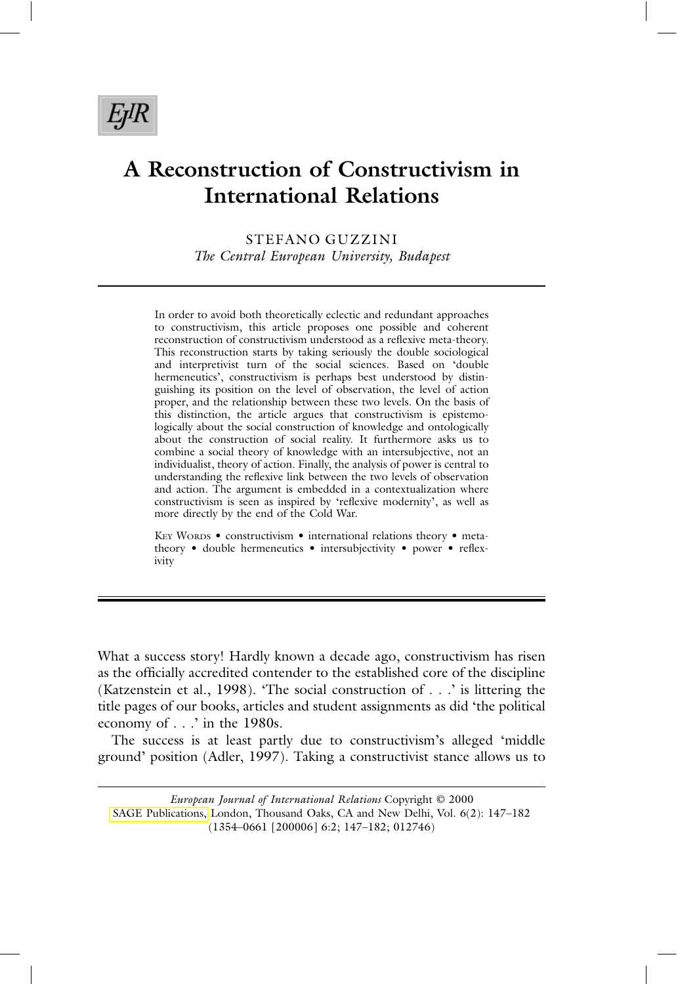# **A Reconstruction of Constructivism in International Relations**

STEFANO GUZZINI *The Central European University, Budapest*

In order to avoid both theoretically eclectic and redundant approaches to constructivism, this article proposes one possible and coherent reconstruction of constructivism understood as a reflexive meta-theory. This reconstruction starts by taking seriously the double sociological and interpretivist turn of the social sciences. Based on 'double hermeneutics', constructivism is perhaps best understood by distinguishing its position on the level of observation, the level of action proper, and the relationship between these two levels. On the basis of this distinction, the article argues that constructivism is epistemologically about the social construction of knowledge and ontologically about the construction of social reality. It furthermore asks us to combine a social theory of knowledge with an intersubjective, not an individualist, theory of action. Finally, the analysis of power is central to understanding the reflexive link between the two levels of observation and action. The argument is embedded in a contextualization where constructivism is seen as inspired by 'reflexive modernity', as well as more directly by the end of the Cold War.

KEY WORDS • constructivism • international relations theory • metatheory • double hermeneutics • intersubjectivity • power • reflexivity

What a success story! Hardly known a decade ago, constructivism has risen as the officially accredited contender to the established core of the discipline (Katzenstein et al., 1998). 'The social construction of . . .' is littering the title pages of our books, articles and student assignments as did 'the political economy of . . .' in the 1980s.

The success is at least partly due to constructivism's alleged 'middle ground' position (Adler, 1997). Taking a constructivist stance allows us to

*European Journal of International Relations* Copyright © 2000 [SAGE Publications,](http:\\www.sagepub.co.uk) London, Thousand Oaks, CA and New Delhi, Vol. 6(2): 147–182 (1354–0661 [200006] 6:2; 147–182; 012746)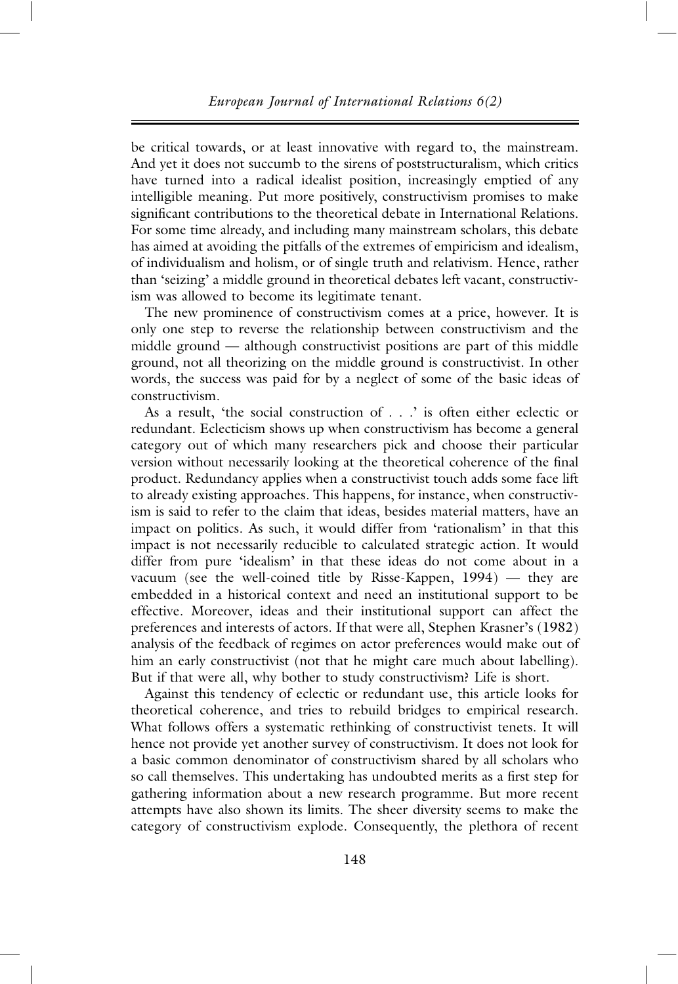be critical towards, or at least innovative with regard to, the mainstream. And yet it does not succumb to the sirens of poststructuralism, which critics have turned into a radical idealist position, increasingly emptied of any intelligible meaning. Put more positively, constructivism promises to make significant contributions to the theoretical debate in International Relations. For some time already, and including many mainstream scholars, this debate has aimed at avoiding the pitfalls of the extremes of empiricism and idealism, of individualism and holism, or of single truth and relativism. Hence, rather than 'seizing' a middle ground in theoretical debates left vacant, constructivism was allowed to become its legitimate tenant.

The new prominence of constructivism comes at a price, however. It is only one step to reverse the relationship between constructivism and the middle ground — although constructivist positions are part of this middle ground, not all theorizing on the middle ground is constructivist. In other words, the success was paid for by a neglect of some of the basic ideas of constructivism.

As a result, 'the social construction of . . .' is often either eclectic or redundant. Eclecticism shows up when constructivism has become a general category out of which many researchers pick and choose their particular version without necessarily looking at the theoretical coherence of the final product. Redundancy applies when a constructivist touch adds some face lift to already existing approaches. This happens, for instance, when constructivism is said to refer to the claim that ideas, besides material matters, have an impact on politics. As such, it would differ from 'rationalism' in that this impact is not necessarily reducible to calculated strategic action. It would differ from pure 'idealism' in that these ideas do not come about in a vacuum (see the well-coined title by Risse-Kappen,  $1994$ ) — they are embedded in a historical context and need an institutional support to be effective. Moreover, ideas and their institutional support can affect the preferences and interests of actors. If that were all, Stephen Krasner's (1982) analysis of the feedback of regimes on actor preferences would make out of him an early constructivist (not that he might care much about labelling). But if that were all, why bother to study constructivism? Life is short.

Against this tendency of eclectic or redundant use, this article looks for theoretical coherence, and tries to rebuild bridges to empirical research. What follows offers a systematic rethinking of constructivist tenets. It will hence not provide yet another survey of constructivism. It does not look for a basic common denominator of constructivism shared by all scholars who so call themselves. This undertaking has undoubted merits as a first step for gathering information about a new research programme. But more recent attempts have also shown its limits. The sheer diversity seems to make the category of constructivism explode. Consequently, the plethora of recent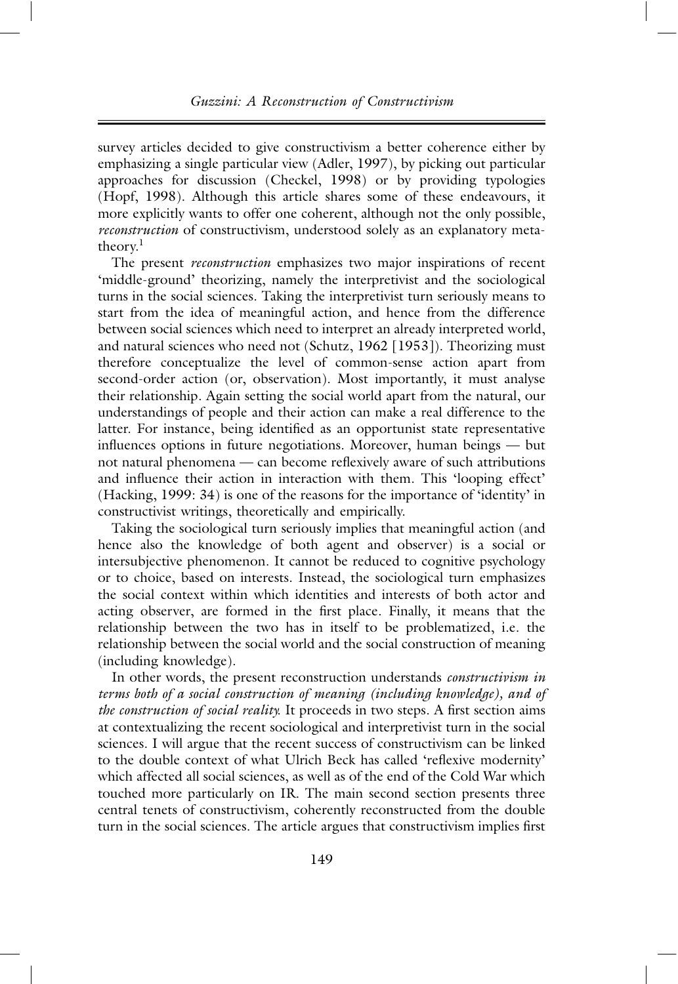survey articles decided to give constructivism a better coherence either by emphasizing a single particular view (Adler, 1997), by picking out particular approaches for discussion (Checkel, 1998) or by providing typologies (Hopf, 1998). Although this article shares some of these endeavours, it more explicitly wants to offer one coherent, although not the only possible, *reconstruction* of constructivism, understood solely as an explanatory metatheory.<sup>1</sup>

The present *reconstruction* emphasizes two major inspirations of recent 'middle-ground' theorizing, namely the interpretivist and the sociological turns in the social sciences. Taking the interpretivist turn seriously means to start from the idea of meaningful action, and hence from the difference between social sciences which need to interpret an already interpreted world, and natural sciences who need not (Schutz, 1962 [1953]). Theorizing must therefore conceptualize the level of common-sense action apart from second-order action (or, observation). Most importantly, it must analyse their relationship. Again setting the social world apart from the natural, our understandings of people and their action can make a real difference to the latter. For instance, being identified as an opportunist state representative influences options in future negotiations. Moreover, human beings — but not natural phenomena — can become reflexively aware of such attributions and influence their action in interaction with them. This 'looping effect' (Hacking, 1999: 34) is one of the reasons for the importance of 'identity' in constructivist writings, theoretically and empirically.

Taking the sociological turn seriously implies that meaningful action (and hence also the knowledge of both agent and observer) is a social or intersubjective phenomenon. It cannot be reduced to cognitive psychology or to choice, based on interests. Instead, the sociological turn emphasizes the social context within which identities and interests of both actor and acting observer, are formed in the first place. Finally, it means that the relationship between the two has in itself to be problematized, i.e. the relationship between the social world and the social construction of meaning (including knowledge).

In other words, the present reconstruction understands *constructivism in terms both of a social construction of meaning (including knowledge), and of the construction of social reality*. It proceeds in two steps. A first section aims at contextualizing the recent sociological and interpretivist turn in the social sciences. I will argue that the recent success of constructivism can be linked to the double context of what Ulrich Beck has called 'reflexive modernity' which affected all social sciences, as well as of the end of the Cold War which touched more particularly on IR. The main second section presents three central tenets of constructivism, coherently reconstructed from the double turn in the social sciences. The article argues that constructivism implies first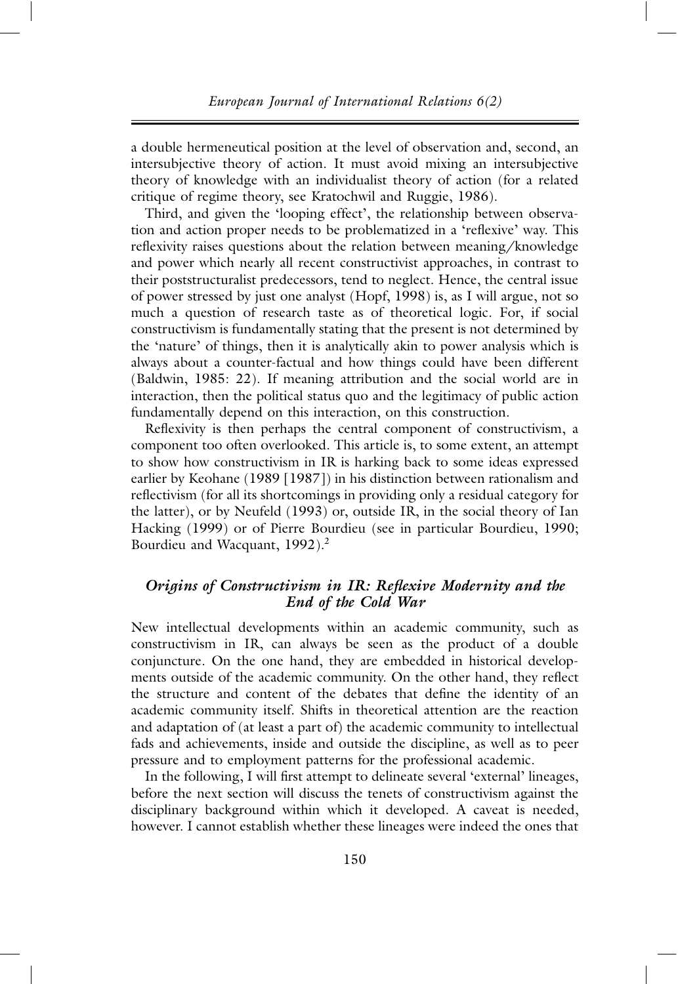a double hermeneutical position at the level of observation and, second, an intersubjective theory of action. It must avoid mixing an intersubjective theory of knowledge with an individualist theory of action (for a related critique of regime theory, see Kratochwil and Ruggie, 1986).

Third, and given the 'looping effect', the relationship between observation and action proper needs to be problematized in a 'reflexive' way. This reflexivity raises questions about the relation between meaning/knowledge and power which nearly all recent constructivist approaches, in contrast to their poststructuralist predecessors, tend to neglect. Hence, the central issue of power stressed by just one analyst (Hopf, 1998) is, as I will argue, not so much a question of research taste as of theoretical logic. For, if social constructivism is fundamentally stating that the present is not determined by the 'nature' of things, then it is analytically akin to power analysis which is always about a counter-factual and how things could have been different (Baldwin, 1985: 22). If meaning attribution and the social world are in interaction, then the political status quo and the legitimacy of public action fundamentally depend on this interaction, on this construction.

Reflexivity is then perhaps the central component of constructivism, a component too often overlooked. This article is, to some extent, an attempt to show how constructivism in IR is harking back to some ideas expressed earlier by Keohane (1989 [1987]) in his distinction between rationalism and reflectivism (for all its shortcomings in providing only a residual category for the latter), or by Neufeld (1993) or, outside IR, in the social theory of Ian Hacking (1999) or of Pierre Bourdieu (see in particular Bourdieu, 1990; Bourdieu and Wacquant, 1992).<sup>2</sup>

## *Origins of Constructivism in IR: Reflexive Modernity and the End of the Cold War*

New intellectual developments within an academic community, such as constructivism in IR, can always be seen as the product of a double conjuncture. On the one hand, they are embedded in historical developments outside of the academic community. On the other hand, they reflect the structure and content of the debates that define the identity of an academic community itself. Shifts in theoretical attention are the reaction and adaptation of (at least a part of) the academic community to intellectual fads and achievements, inside and outside the discipline, as well as to peer pressure and to employment patterns for the professional academic.

In the following, I will first attempt to delineate several 'external' lineages, before the next section will discuss the tenets of constructivism against the disciplinary background within which it developed. A caveat is needed, however. I cannot establish whether these lineages were indeed the ones that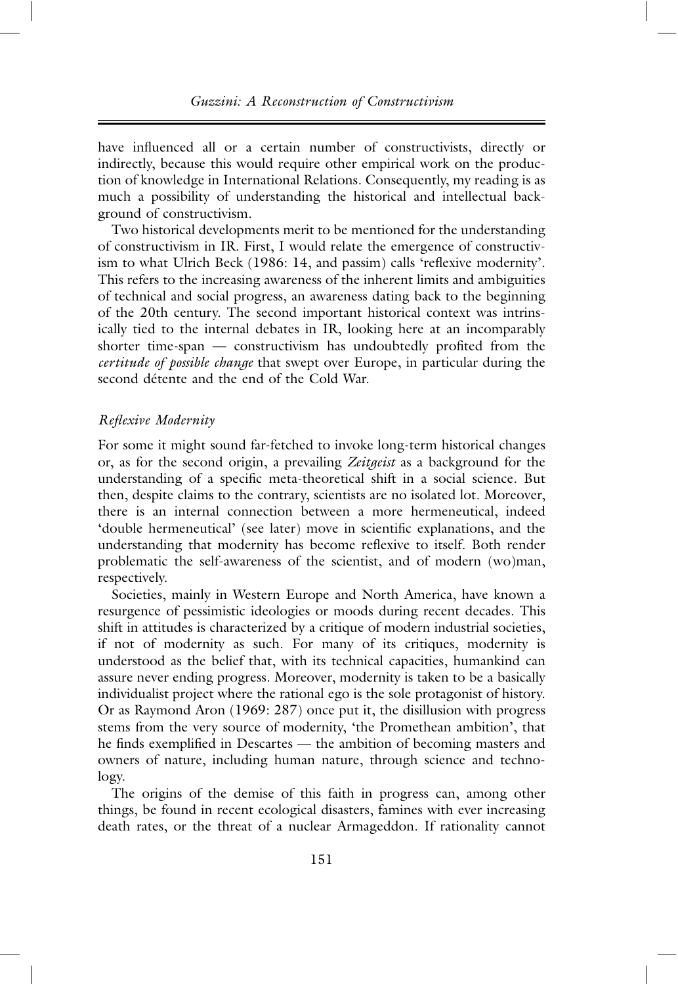have influenced all or a certain number of constructivists, directly or indirectly, because this would require other empirical work on the production of knowledge in International Relations. Consequently, my reading is as much a possibility of understanding the historical and intellectual background of constructivism.

Two historical developments merit to be mentioned for the understanding of constructivism in IR. First, I would relate the emergence of constructivism to what Ulrich Beck (1986: 14, and passim) calls 'reflexive modernity'. This refers to the increasing awareness of the inherent limits and ambiguities of technical and social progress, an awareness dating back to the beginning of the 20th century. The second important historical context was intrinsically tied to the internal debates in IR, looking here at an incomparably shorter time-span — constructivism has undoubtedly profited from the *certitude of possible change* that swept over Europe, in particular during the second détente and the end of the Cold War.

#### *Reflexive Modernity*

For some it might sound far-fetched to invoke long-term historical changes or, as for the second origin, a prevailing *Zeitgeist* as a background for the understanding of a specific meta-theoretical shift in a social science. But then, despite claims to the contrary, scientists are no isolated lot. Moreover, there is an internal connection between a more hermeneutical, indeed 'double hermeneutical' (see later) move in scientific explanations, and the understanding that modernity has become reflexive to itself. Both render problematic the self-awareness of the scientist, and of modern (wo)man, respectively.

Societies, mainly in Western Europe and North America, have known a resurgence of pessimistic ideologies or moods during recent decades. This shift in attitudes is characterized by a critique of modern industrial societies, if not of modernity as such. For many of its critiques, modernity is understood as the belief that, with its technical capacities, humankind can assure never ending progress. Moreover, modernity is taken to be a basically individualist project where the rational ego is the sole protagonist of history. Or as Raymond Aron (1969: 287) once put it, the disillusion with progress stems from the very source of modernity, 'the Promethean ambition', that he finds exemplified in Descartes — the ambition of becoming masters and owners of nature, including human nature, through science and technology.

The origins of the demise of this faith in progress can, among other things, be found in recent ecological disasters, famines with ever increasing death rates, or the threat of a nuclear Armageddon. If rationality cannot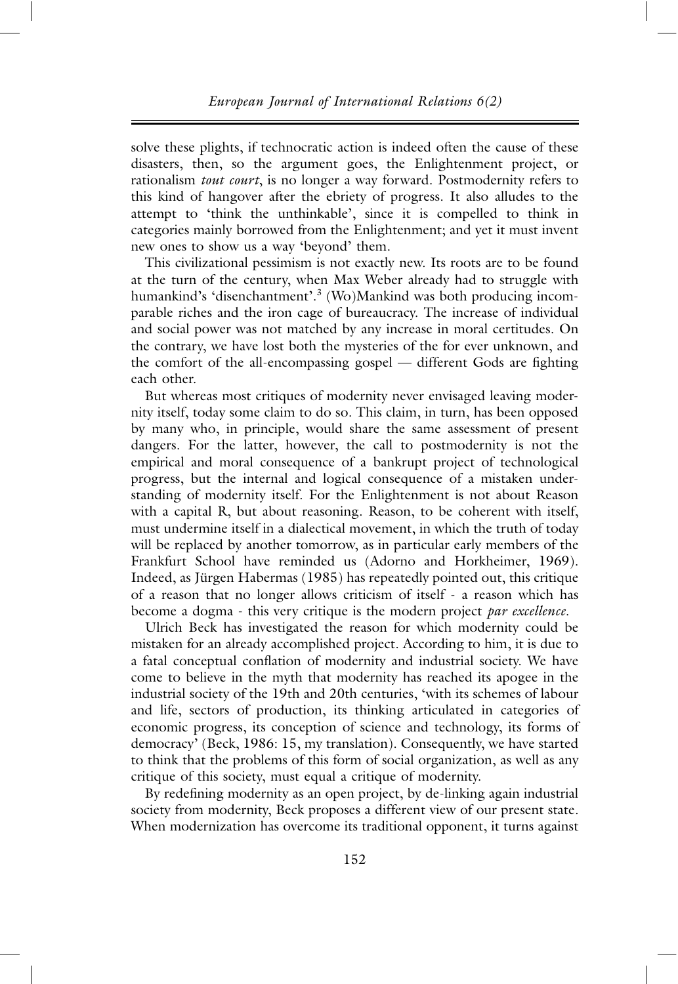solve these plights, if technocratic action is indeed often the cause of these disasters, then, so the argument goes, the Enlightenment project, or rationalism *tout court*, is no longer a way forward. Postmodernity refers to this kind of hangover after the ebriety of progress. It also alludes to the attempt to 'think the unthinkable', since it is compelled to think in categories mainly borrowed from the Enlightenment; and yet it must invent new ones to show us a way 'beyond' them.

This civilizational pessimism is not exactly new. Its roots are to be found at the turn of the century, when Max Weber already had to struggle with humankind's 'disenchantment'.<sup>3</sup> (Wo)Mankind was both producing incomparable riches and the iron cage of bureaucracy. The increase of individual and social power was not matched by any increase in moral certitudes. On the contrary, we have lost both the mysteries of the for ever unknown, and the comfort of the all-encompassing gospel — different Gods are fighting each other.

But whereas most critiques of modernity never envisaged leaving modernity itself, today some claim to do so. This claim, in turn, has been opposed by many who, in principle, would share the same assessment of present dangers. For the latter, however, the call to postmodernity is not the empirical and moral consequence of a bankrupt project of technological progress, but the internal and logical consequence of a mistaken understanding of modernity itself. For the Enlightenment is not about Reason with a capital R, but about reasoning. Reason, to be coherent with itself, must undermine itself in a dialectical movement, in which the truth of today will be replaced by another tomorrow, as in particular early members of the Frankfurt School have reminded us (Adorno and Horkheimer, 1969). Indeed, as Jürgen Habermas (1985) has repeatedly pointed out, this critique of a reason that no longer allows criticism of itself - a reason which has become a dogma - this very critique is the modern project *par excellence*.

Ulrich Beck has investigated the reason for which modernity could be mistaken for an already accomplished project. According to him, it is due to a fatal conceptual conflation of modernity and industrial society. We have come to believe in the myth that modernity has reached its apogee in the industrial society of the 19th and 20th centuries, 'with its schemes of labour and life, sectors of production, its thinking articulated in categories of economic progress, its conception of science and technology, its forms of democracy' (Beck, 1986: 15, my translation). Consequently, we have started to think that the problems of this form of social organization, as well as any critique of this society, must equal a critique of modernity.

By redefining modernity as an open project, by de-linking again industrial society from modernity, Beck proposes a different view of our present state. When modernization has overcome its traditional opponent, it turns against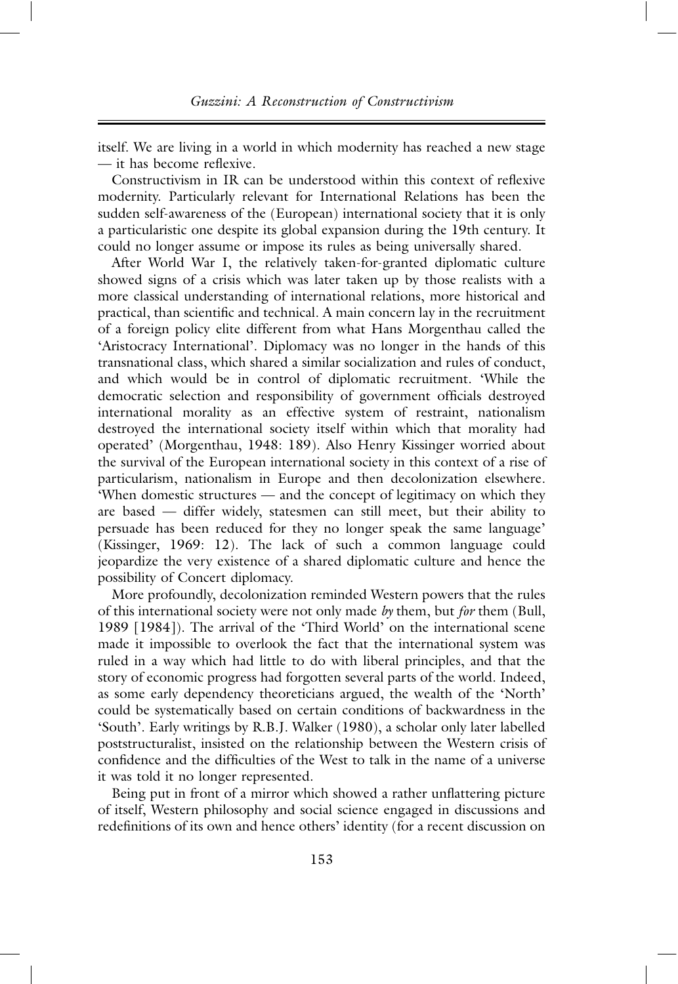itself. We are living in a world in which modernity has reached a new stage — it has become reflexive.

Constructivism in IR can be understood within this context of reflexive modernity. Particularly relevant for International Relations has been the sudden self-awareness of the (European) international society that it is only a particularistic one despite its global expansion during the 19th century. It could no longer assume or impose its rules as being universally shared.

After World War I, the relatively taken-for-granted diplomatic culture showed signs of a crisis which was later taken up by those realists with a more classical understanding of international relations, more historical and practical, than scientific and technical. A main concern lay in the recruitment of a foreign policy elite different from what Hans Morgenthau called the 'Aristocracy International'. Diplomacy was no longer in the hands of this transnational class, which shared a similar socialization and rules of conduct, and which would be in control of diplomatic recruitment. 'While the democratic selection and responsibility of government officials destroyed international morality as an effective system of restraint, nationalism destroyed the international society itself within which that morality had operated' (Morgenthau, 1948: 189). Also Henry Kissinger worried about the survival of the European international society in this context of a rise of particularism, nationalism in Europe and then decolonization elsewhere. 'When domestic structures — and the concept of legitimacy on which they are based — differ widely, statesmen can still meet, but their ability to persuade has been reduced for they no longer speak the same language' (Kissinger, 1969: 12). The lack of such a common language could jeopardize the very existence of a shared diplomatic culture and hence the possibility of Concert diplomacy.

More profoundly, decolonization reminded Western powers that the rules of this international society were not only made *by* them, but *for* them (Bull, 1989 [1984]). The arrival of the 'Third World' on the international scene made it impossible to overlook the fact that the international system was ruled in a way which had little to do with liberal principles, and that the story of economic progress had forgotten several parts of the world. Indeed, as some early dependency theoreticians argued, the wealth of the 'North' could be systematically based on certain conditions of backwardness in the 'South'. Early writings by R.B.J. Walker (1980), a scholar only later labelled poststructuralist, insisted on the relationship between the Western crisis of confidence and the difficulties of the West to talk in the name of a universe it was told it no longer represented.

Being put in front of a mirror which showed a rather unflattering picture of itself, Western philosophy and social science engaged in discussions and redefinitions of its own and hence others' identity (for a recent discussion on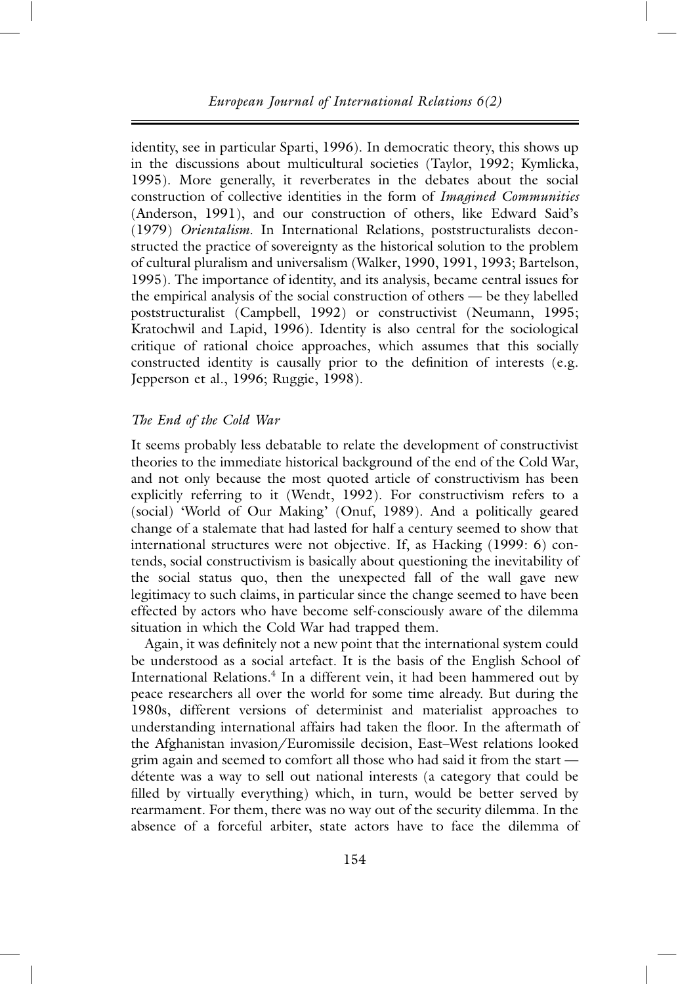identity, see in particular Sparti, 1996). In democratic theory, this shows up in the discussions about multicultural societies (Taylor, 1992; Kymlicka, 1995). More generally, it reverberates in the debates about the social construction of collective identities in the form of *Imagined Communities* (Anderson, 1991), and our construction of others, like Edward Said's (1979) *Orientalism*. In International Relations, poststructuralists deconstructed the practice of sovereignty as the historical solution to the problem of cultural pluralism and universalism (Walker, 1990, 1991, 1993; Bartelson, 1995). The importance of identity, and its analysis, became central issues for the empirical analysis of the social construction of others — be they labelled poststructuralist (Campbell, 1992) or constructivist (Neumann, 1995; Kratochwil and Lapid, 1996). Identity is also central for the sociological critique of rational choice approaches, which assumes that this socially constructed identity is causally prior to the definition of interests (e.g. Jepperson et al., 1996; Ruggie, 1998).

#### *The End of the Cold War*

It seems probably less debatable to relate the development of constructivist theories to the immediate historical background of the end of the Cold War, and not only because the most quoted article of constructivism has been explicitly referring to it (Wendt, 1992). For constructivism refers to a (social) 'World of Our Making' (Onuf, 1989). And a politically geared change of a stalemate that had lasted for half a century seemed to show that international structures were not objective. If, as Hacking (1999: 6) contends, social constructivism is basically about questioning the inevitability of the social status quo, then the unexpected fall of the wall gave new legitimacy to such claims, in particular since the change seemed to have been effected by actors who have become self-consciously aware of the dilemma situation in which the Cold War had trapped them.

Again, it was definitely not a new point that the international system could be understood as a social artefact. It is the basis of the English School of International Relations.<sup>4</sup> In a different vein, it had been hammered out by peace researchers all over the world for some time already. But during the 1980s, different versions of determinist and materialist approaches to understanding international affairs had taken the floor. In the aftermath of the Afghanistan invasion/Euromissile decision, East–West relations looked grim again and seemed to comfort all those who had said it from the start détente was a way to sell out national interests (a category that could be filled by virtually everything) which, in turn, would be better served by rearmament. For them, there was no way out of the security dilemma. In the absence of a forceful arbiter, state actors have to face the dilemma of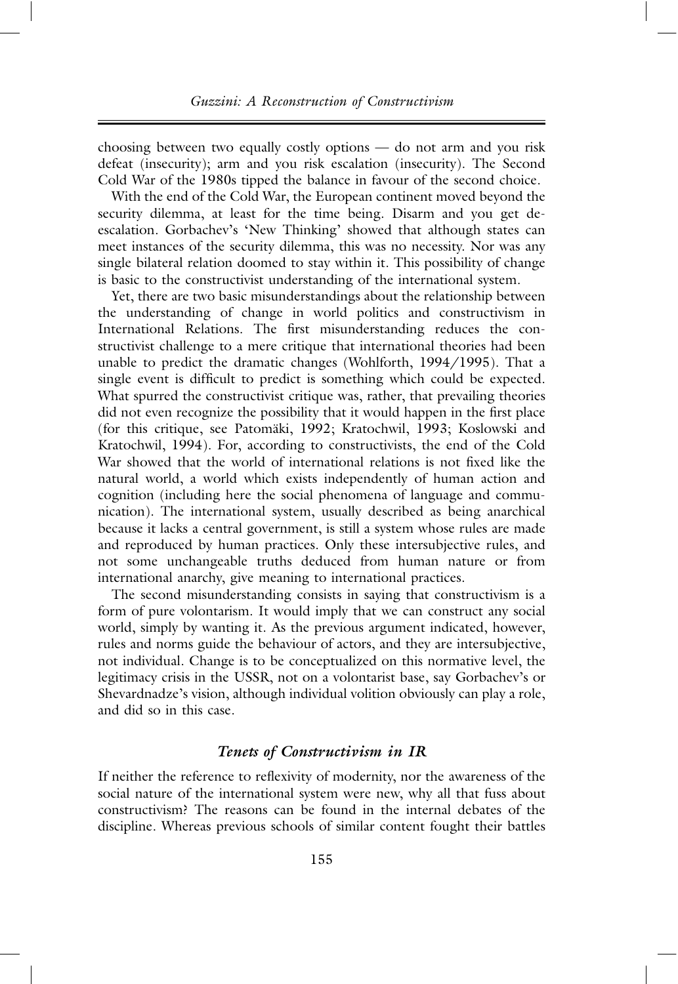choosing between two equally costly options — do not arm and you risk defeat (insecurity); arm and you risk escalation (insecurity). The Second Cold War of the 1980s tipped the balance in favour of the second choice.

With the end of the Cold War, the European continent moved beyond the security dilemma, at least for the time being. Disarm and you get deescalation. Gorbachev's 'New Thinking' showed that although states can meet instances of the security dilemma, this was no necessity. Nor was any single bilateral relation doomed to stay within it. This possibility of change is basic to the constructivist understanding of the international system.

Yet, there are two basic misunderstandings about the relationship between the understanding of change in world politics and constructivism in International Relations. The first misunderstanding reduces the constructivist challenge to a mere critique that international theories had been unable to predict the dramatic changes (Wohlforth, 1994/1995). That a single event is difficult to predict is something which could be expected. What spurred the constructivist critique was, rather, that prevailing theories did not even recognize the possibility that it would happen in the first place (for this critique, see Patomäki, 1992; Kratochwil, 1993; Koslowski and Kratochwil, 1994). For, according to constructivists, the end of the Cold War showed that the world of international relations is not fixed like the natural world, a world which exists independently of human action and cognition (including here the social phenomena of language and communication). The international system, usually described as being anarchical because it lacks a central government, is still a system whose rules are made and reproduced by human practices. Only these intersubjective rules, and not some unchangeable truths deduced from human nature or from international anarchy, give meaning to international practices.

The second misunderstanding consists in saying that constructivism is a form of pure volontarism. It would imply that we can construct any social world, simply by wanting it. As the previous argument indicated, however, rules and norms guide the behaviour of actors, and they are intersubjective, not individual. Change is to be conceptualized on this normative level, the legitimacy crisis in the USSR, not on a volontarist base, say Gorbachev's or Shevardnadze's vision, although individual volition obviously can play a role, and did so in this case.

### *Tenets of Constructivism in IR*

If neither the reference to reflexivity of modernity, nor the awareness of the social nature of the international system were new, why all that fuss about constructivism? The reasons can be found in the internal debates of the discipline. Whereas previous schools of similar content fought their battles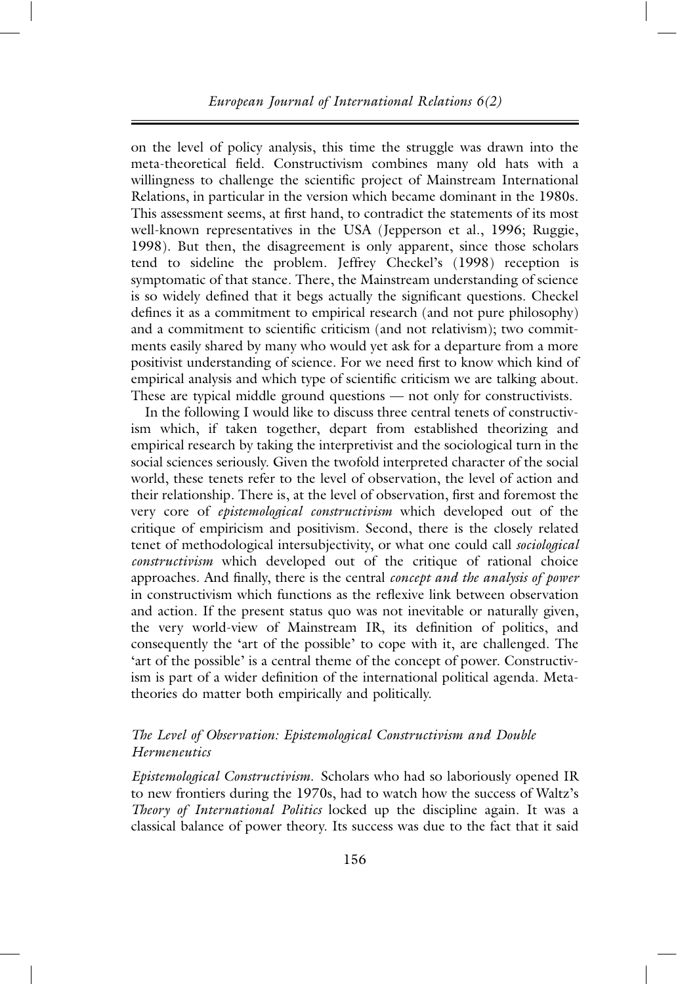on the level of policy analysis, this time the struggle was drawn into the meta-theoretical field. Constructivism combines many old hats with a willingness to challenge the scientific project of Mainstream International Relations, in particular in the version which became dominant in the 1980s. This assessment seems, at first hand, to contradict the statements of its most well-known representatives in the USA (Jepperson et al., 1996; Ruggie, 1998). But then, the disagreement is only apparent, since those scholars tend to sideline the problem. Jeffrey Checkel's (1998) reception is symptomatic of that stance. There, the Mainstream understanding of science is so widely defined that it begs actually the significant questions. Checkel defines it as a commitment to empirical research (and not pure philosophy) and a commitment to scientific criticism (and not relativism); two commitments easily shared by many who would yet ask for a departure from a more positivist understanding of science. For we need first to know which kind of empirical analysis and which type of scientific criticism we are talking about. These are typical middle ground questions — not only for constructivists.

In the following I would like to discuss three central tenets of constructivism which, if taken together, depart from established theorizing and empirical research by taking the interpretivist and the sociological turn in the social sciences seriously. Given the twofold interpreted character of the social world, these tenets refer to the level of observation, the level of action and their relationship. There is, at the level of observation, first and foremost the very core of *epistemological constructivism* which developed out of the critique of empiricism and positivism. Second, there is the closely related tenet of methodological intersubjectivity, or what one could call *sociological constructivism* which developed out of the critique of rational choice approaches. And finally, there is the central *concept and the analysis of power* in constructivism which functions as the reflexive link between observation and action. If the present status quo was not inevitable or naturally given, the very world-view of Mainstream IR, its definition of politics, and consequently the 'art of the possible' to cope with it, are challenged. The 'art of the possible' is a central theme of the concept of power. Constructivism is part of a wider definition of the international political agenda. Metatheories do matter both empirically and politically.

### *The Level of Observation: Epistemological Constructivism and Double Hermeneutics*

*Epistemological Constructivism*. Scholars who had so laboriously opened IR to new frontiers during the 1970s, had to watch how the success of Waltz's *Theory of International Politics* locked up the discipline again. It was a classical balance of power theory. Its success was due to the fact that it said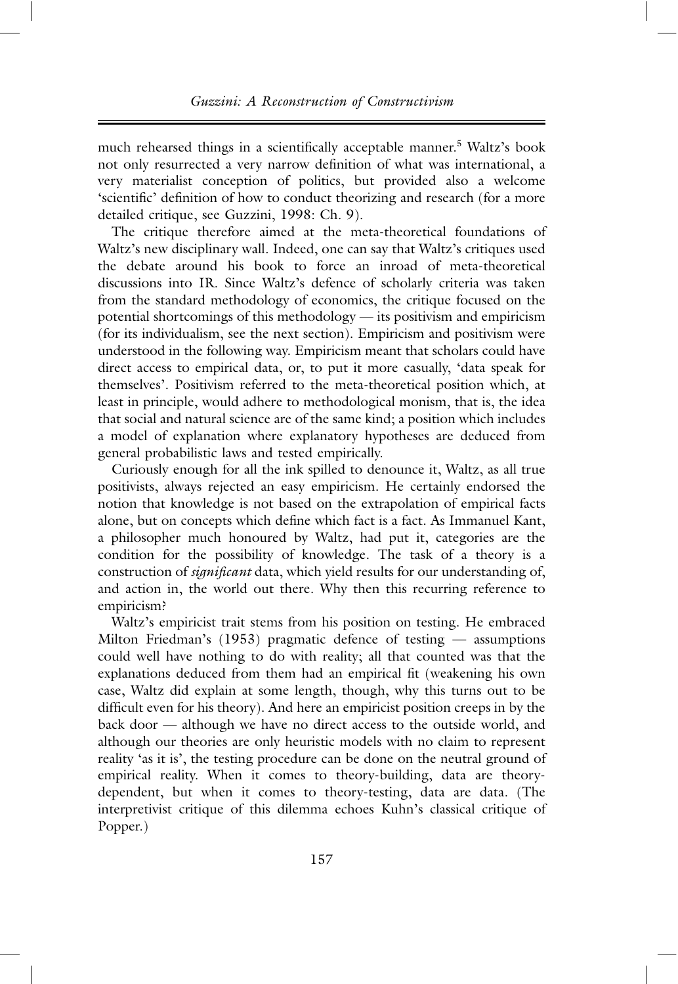much rehearsed things in a scientifically acceptable manner.<sup>5</sup> Waltz's book not only resurrected a very narrow definition of what was international, a very materialist conception of politics, but provided also a welcome 'scientific' definition of how to conduct theorizing and research (for a more detailed critique, see Guzzini, 1998: Ch. 9).

The critique therefore aimed at the meta-theoretical foundations of Waltz's new disciplinary wall. Indeed, one can say that Waltz's critiques used the debate around his book to force an inroad of meta-theoretical discussions into IR. Since Waltz's defence of scholarly criteria was taken from the standard methodology of economics, the critique focused on the potential shortcomings of this methodology — its positivism and empiricism (for its individualism, see the next section). Empiricism and positivism were understood in the following way. Empiricism meant that scholars could have direct access to empirical data, or, to put it more casually, 'data speak for themselves'. Positivism referred to the meta-theoretical position which, at least in principle, would adhere to methodological monism, that is, the idea that social and natural science are of the same kind; a position which includes a model of explanation where explanatory hypotheses are deduced from general probabilistic laws and tested empirically.

Curiously enough for all the ink spilled to denounce it, Waltz, as all true positivists, always rejected an easy empiricism. He certainly endorsed the notion that knowledge is not based on the extrapolation of empirical facts alone, but on concepts which define which fact is a fact. As Immanuel Kant, a philosopher much honoured by Waltz, had put it, categories are the condition for the possibility of knowledge. The task of a theory is a construction of *significant* data, which yield results for our understanding of, and action in, the world out there. Why then this recurring reference to empiricism?

Waltz's empiricist trait stems from his position on testing. He embraced Milton Friedman's (1953) pragmatic defence of testing — assumptions could well have nothing to do with reality; all that counted was that the explanations deduced from them had an empirical fit (weakening his own case, Waltz did explain at some length, though, why this turns out to be difficult even for his theory). And here an empiricist position creeps in by the back door — although we have no direct access to the outside world, and although our theories are only heuristic models with no claim to represent reality 'as it is', the testing procedure can be done on the neutral ground of empirical reality. When it comes to theory-building, data are theorydependent, but when it comes to theory-testing, data are data. (The interpretivist critique of this dilemma echoes Kuhn's classical critique of Popper.)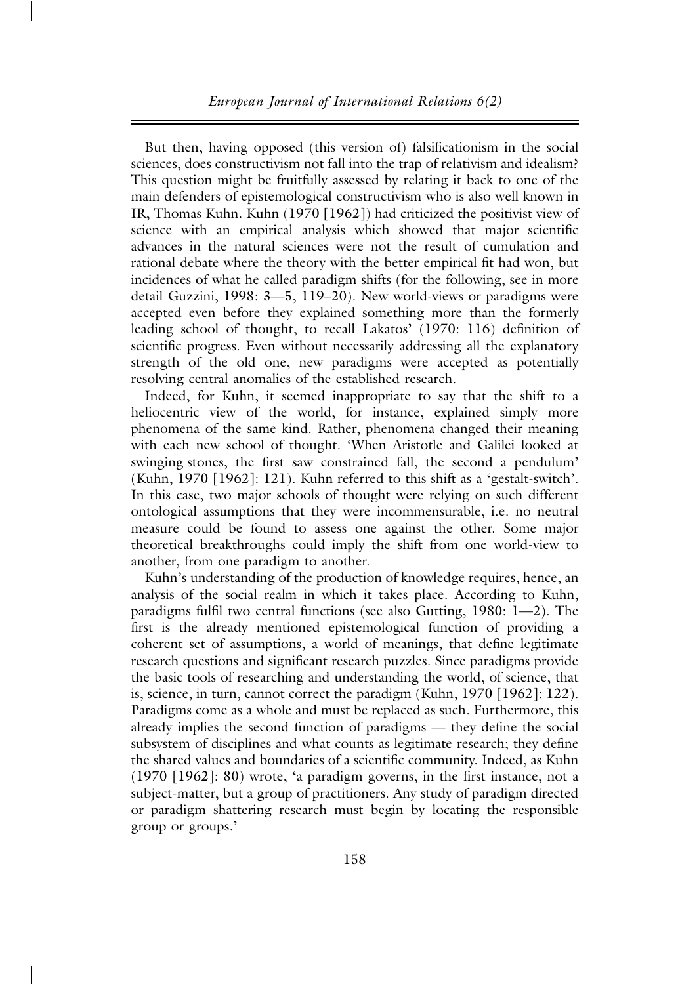But then, having opposed (this version of) falsificationism in the social sciences, does constructivism not fall into the trap of relativism and idealism? This question might be fruitfully assessed by relating it back to one of the main defenders of epistemological constructivism who is also well known in IR, Thomas Kuhn. Kuhn (1970 [1962]) had criticized the positivist view of science with an empirical analysis which showed that major scientific advances in the natural sciences were not the result of cumulation and rational debate where the theory with the better empirical fit had won, but incidences of what he called paradigm shifts (for the following, see in more detail Guzzini, 1998: 3—5, 119–20). New world-views or paradigms were accepted even before they explained something more than the formerly leading school of thought, to recall Lakatos' (1970: 116) definition of scientific progress. Even without necessarily addressing all the explanatory strength of the old one, new paradigms were accepted as potentially resolving central anomalies of the established research.

Indeed, for Kuhn, it seemed inappropriate to say that the shift to a heliocentric view of the world, for instance, explained simply more phenomena of the same kind. Rather, phenomena changed their meaning with each new school of thought. 'When Aristotle and Galilei looked at swinging stones, the first saw constrained fall, the second a pendulum' (Kuhn, 1970 [1962]: 121). Kuhn referred to this shift as a 'gestalt-switch'. In this case, two major schools of thought were relying on such different ontological assumptions that they were incommensurable, i.e. no neutral measure could be found to assess one against the other. Some major theoretical breakthroughs could imply the shift from one world-view to another, from one paradigm to another.

Kuhn's understanding of the production of knowledge requires, hence, an analysis of the social realm in which it takes place. According to Kuhn, paradigms fulfil two central functions (see also Gutting, 1980: 1—2). The first is the already mentioned epistemological function of providing a coherent set of assumptions, a world of meanings, that define legitimate research questions and significant research puzzles. Since paradigms provide the basic tools of researching and understanding the world, of science, that is, science, in turn, cannot correct the paradigm (Kuhn, 1970 [1962]: 122). Paradigms come as a whole and must be replaced as such. Furthermore, this already implies the second function of paradigms — they define the social subsystem of disciplines and what counts as legitimate research; they define the shared values and boundaries of a scientific community. Indeed, as Kuhn (1970 [1962]: 80) wrote, 'a paradigm governs, in the first instance, not a subject-matter, but a group of practitioners. Any study of paradigm directed or paradigm shattering research must begin by locating the responsible group or groups.'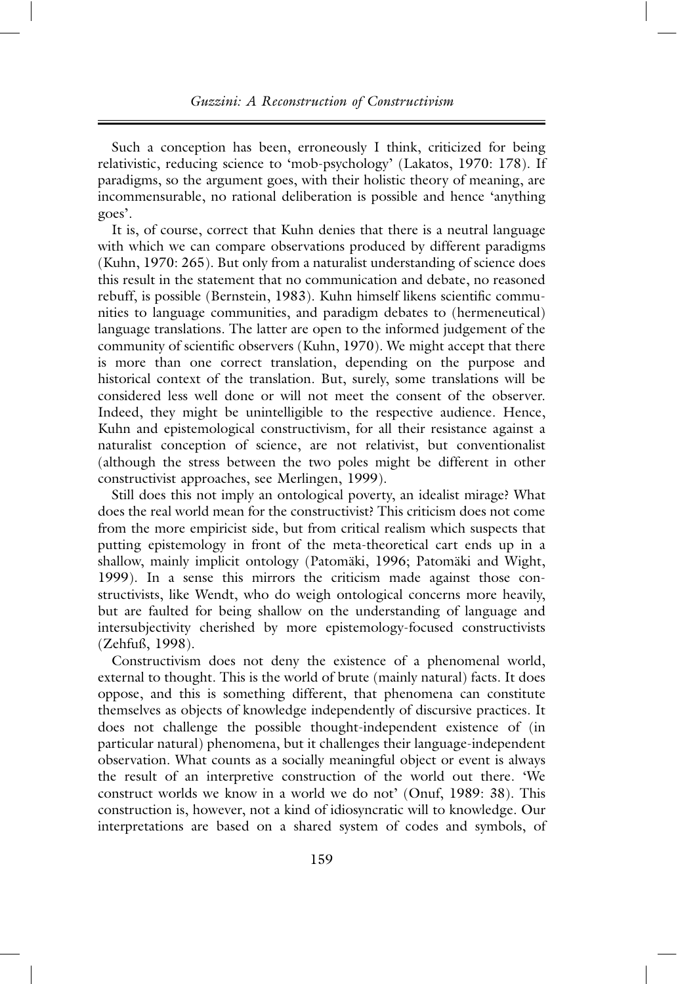Such a conception has been, erroneously I think, criticized for being relativistic, reducing science to 'mob-psychology' (Lakatos, 1970: 178). If paradigms, so the argument goes, with their holistic theory of meaning, are incommensurable, no rational deliberation is possible and hence 'anything goes'.

It is, of course, correct that Kuhn denies that there is a neutral language with which we can compare observations produced by different paradigms (Kuhn, 1970: 265). But only from a naturalist understanding of science does this result in the statement that no communication and debate, no reasoned rebuff, is possible (Bernstein, 1983). Kuhn himself likens scientific communities to language communities, and paradigm debates to (hermeneutical) language translations. The latter are open to the informed judgement of the community of scientific observers (Kuhn, 1970). We might accept that there is more than one correct translation, depending on the purpose and historical context of the translation. But, surely, some translations will be considered less well done or will not meet the consent of the observer. Indeed, they might be unintelligible to the respective audience. Hence, Kuhn and epistemological constructivism, for all their resistance against a naturalist conception of science, are not relativist, but conventionalist (although the stress between the two poles might be different in other constructivist approaches, see Merlingen, 1999).

Still does this not imply an ontological poverty, an idealist mirage? What does the real world mean for the constructivist? This criticism does not come from the more empiricist side, but from critical realism which suspects that putting epistemology in front of the meta-theoretical cart ends up in a shallow, mainly implicit ontology (Patomäki, 1996; Patomäki and Wight, 1999). In a sense this mirrors the criticism made against those constructivists, like Wendt, who do weigh ontological concerns more heavily, but are faulted for being shallow on the understanding of language and intersubjectivity cherished by more epistemology-focused constructivists (Zehfuß, 1998).

Constructivism does not deny the existence of a phenomenal world, external to thought. This is the world of brute (mainly natural) facts. It does oppose, and this is something different, that phenomena can constitute themselves as objects of knowledge independently of discursive practices. It does not challenge the possible thought-independent existence of (in particular natural) phenomena, but it challenges their language-independent observation. What counts as a socially meaningful object or event is always the result of an interpretive construction of the world out there. 'We construct worlds we know in a world we do not' (Onuf, 1989: 38). This construction is, however, not a kind of idiosyncratic will to knowledge. Our interpretations are based on a shared system of codes and symbols, of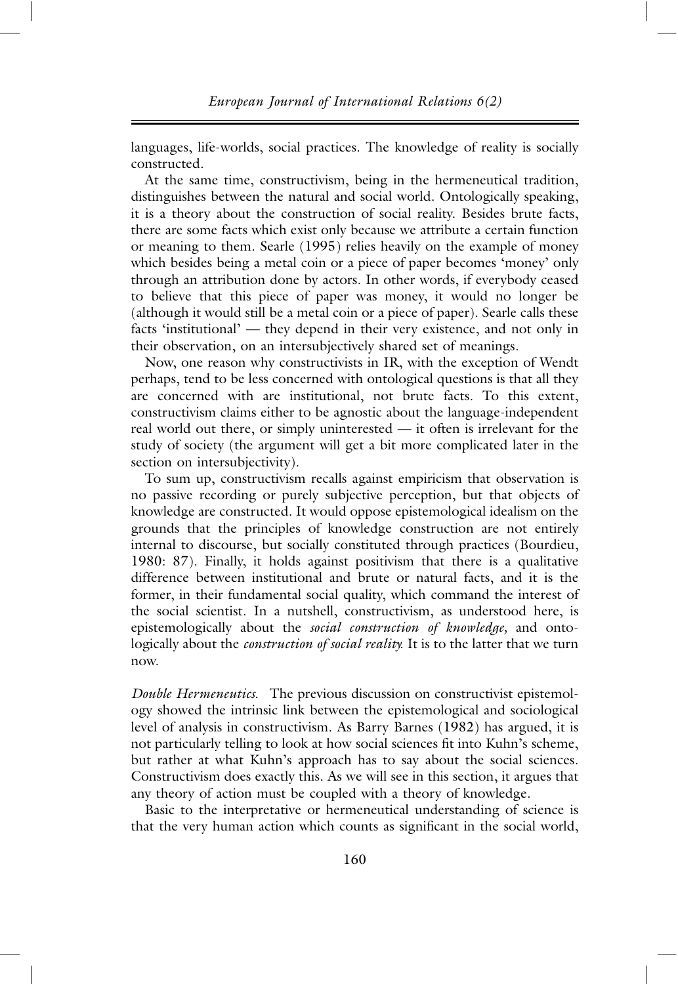languages, life-worlds, social practices. The knowledge of reality is socially constructed.

At the same time, constructivism, being in the hermeneutical tradition, distinguishes between the natural and social world. Ontologically speaking, it is a theory about the construction of social reality. Besides brute facts, there are some facts which exist only because we attribute a certain function or meaning to them. Searle (1995) relies heavily on the example of money which besides being a metal coin or a piece of paper becomes 'money' only through an attribution done by actors. In other words, if everybody ceased to believe that this piece of paper was money, it would no longer be (although it would still be a metal coin or a piece of paper). Searle calls these facts 'institutional' — they depend in their very existence, and not only in their observation, on an intersubjectively shared set of meanings.

Now, one reason why constructivists in IR, with the exception of Wendt perhaps, tend to be less concerned with ontological questions is that all they are concerned with are institutional, not brute facts. To this extent, constructivism claims either to be agnostic about the language-independent real world out there, or simply uninterested — it often is irrelevant for the study of society (the argument will get a bit more complicated later in the section on intersubjectivity).

To sum up, constructivism recalls against empiricism that observation is no passive recording or purely subjective perception, but that objects of knowledge are constructed. It would oppose epistemological idealism on the grounds that the principles of knowledge construction are not entirely internal to discourse, but socially constituted through practices (Bourdieu, 1980: 87). Finally, it holds against positivism that there is a qualitative difference between institutional and brute or natural facts, and it is the former, in their fundamental social quality, which command the interest of the social scientist. In a nutshell, constructivism, as understood here, is epistemologically about the *social construction of knowledge,* and ontologically about the *construction of social reality*. It is to the latter that we turn now.

*Double Hermeneutics*. The previous discussion on constructivist epistemology showed the intrinsic link between the epistemological and sociological level of analysis in constructivism. As Barry Barnes (1982) has argued, it is not particularly telling to look at how social sciences fit into Kuhn's scheme, but rather at what Kuhn's approach has to say about the social sciences. Constructivism does exactly this. As we will see in this section, it argues that any theory of action must be coupled with a theory of knowledge.

Basic to the interpretative or hermeneutical understanding of science is that the very human action which counts as significant in the social world,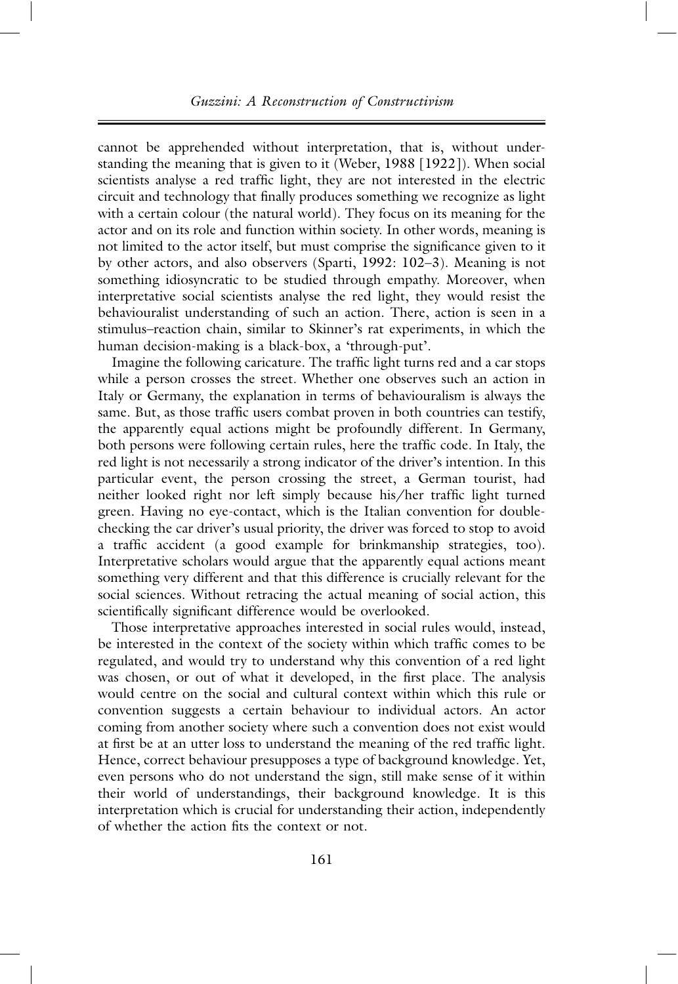cannot be apprehended without interpretation, that is, without understanding the meaning that is given to it (Weber, 1988 [1922]). When social scientists analyse a red traffic light, they are not interested in the electric circuit and technology that finally produces something we recognize as light with a certain colour (the natural world). They focus on its meaning for the actor and on its role and function within society. In other words, meaning is not limited to the actor itself, but must comprise the significance given to it by other actors, and also observers (Sparti, 1992: 102–3). Meaning is not something idiosyncratic to be studied through empathy. Moreover, when interpretative social scientists analyse the red light, they would resist the behaviouralist understanding of such an action. There, action is seen in a stimulus–reaction chain, similar to Skinner's rat experiments, in which the human decision-making is a black-box, a 'through-put'.

Imagine the following caricature. The traffic light turns red and a car stops while a person crosses the street. Whether one observes such an action in Italy or Germany, the explanation in terms of behaviouralism is always the same. But, as those traffic users combat proven in both countries can testify, the apparently equal actions might be profoundly different. In Germany, both persons were following certain rules, here the traffic code. In Italy, the red light is not necessarily a strong indicator of the driver's intention. In this particular event, the person crossing the street, a German tourist, had neither looked right nor left simply because his/her traffic light turned green. Having no eye-contact, which is the Italian convention for doublechecking the car driver's usual priority, the driver was forced to stop to avoid a traffic accident (a good example for brinkmanship strategies, too). Interpretative scholars would argue that the apparently equal actions meant something very different and that this difference is crucially relevant for the social sciences. Without retracing the actual meaning of social action, this scientifically significant difference would be overlooked.

Those interpretative approaches interested in social rules would, instead, be interested in the context of the society within which traffic comes to be regulated, and would try to understand why this convention of a red light was chosen, or out of what it developed, in the first place. The analysis would centre on the social and cultural context within which this rule or convention suggests a certain behaviour to individual actors. An actor coming from another society where such a convention does not exist would at first be at an utter loss to understand the meaning of the red traffic light. Hence, correct behaviour presupposes a type of background knowledge. Yet, even persons who do not understand the sign, still make sense of it within their world of understandings, their background knowledge. It is this interpretation which is crucial for understanding their action, independently of whether the action fits the context or not.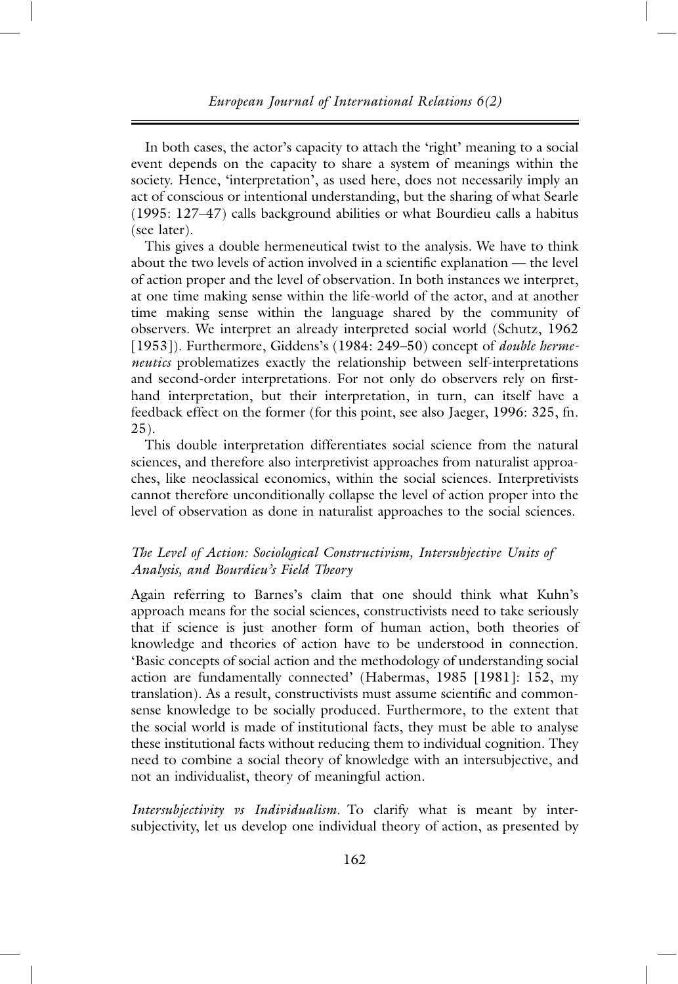In both cases, the actor's capacity to attach the 'right' meaning to a social event depends on the capacity to share a system of meanings within the society. Hence, 'interpretation', as used here, does not necessarily imply an act of conscious or intentional understanding, but the sharing of what Searle (1995: 127–47) calls background abilities or what Bourdieu calls a habitus (see later).

This gives a double hermeneutical twist to the analysis. We have to think about the two levels of action involved in a scientific explanation — the level of action proper and the level of observation. In both instances we interpret, at one time making sense within the life-world of the actor, and at another time making sense within the language shared by the community of observers. We interpret an already interpreted social world (Schutz, 1962 [1953]). Furthermore, Giddens's (1984: 249–50) concept of *double hermeneutics* problematizes exactly the relationship between self-interpretations and second-order interpretations. For not only do observers rely on firsthand interpretation, but their interpretation, in turn, can itself have a feedback effect on the former (for this point, see also Jaeger, 1996: 325, fn. 25).

This double interpretation differentiates social science from the natural sciences, and therefore also interpretivist approaches from naturalist approaches, like neoclassical economics, within the social sciences. Interpretivists cannot therefore unconditionally collapse the level of action proper into the level of observation as done in naturalist approaches to the social sciences.

#### *The Level of Action: Sociological Constructivism, Intersubjective Units of Analysis, and Bourdieu's Field Theory*

Again referring to Barnes's claim that one should think what Kuhn's approach means for the social sciences, constructivists need to take seriously that if science is just another form of human action, both theories of knowledge and theories of action have to be understood in connection. 'Basic concepts of social action and the methodology of understanding social action are fundamentally connected' (Habermas, 1985 [1981]: 152, my translation). As a result, constructivists must assume scientific and commonsense knowledge to be socially produced. Furthermore, to the extent that the social world is made of institutional facts, they must be able to analyse these institutional facts without reducing them to individual cognition. They need to combine a social theory of knowledge with an intersubjective, and not an individualist, theory of meaningful action.

*Intersubjectivity vs Individualism*. To clarify what is meant by intersubjectivity, let us develop one individual theory of action, as presented by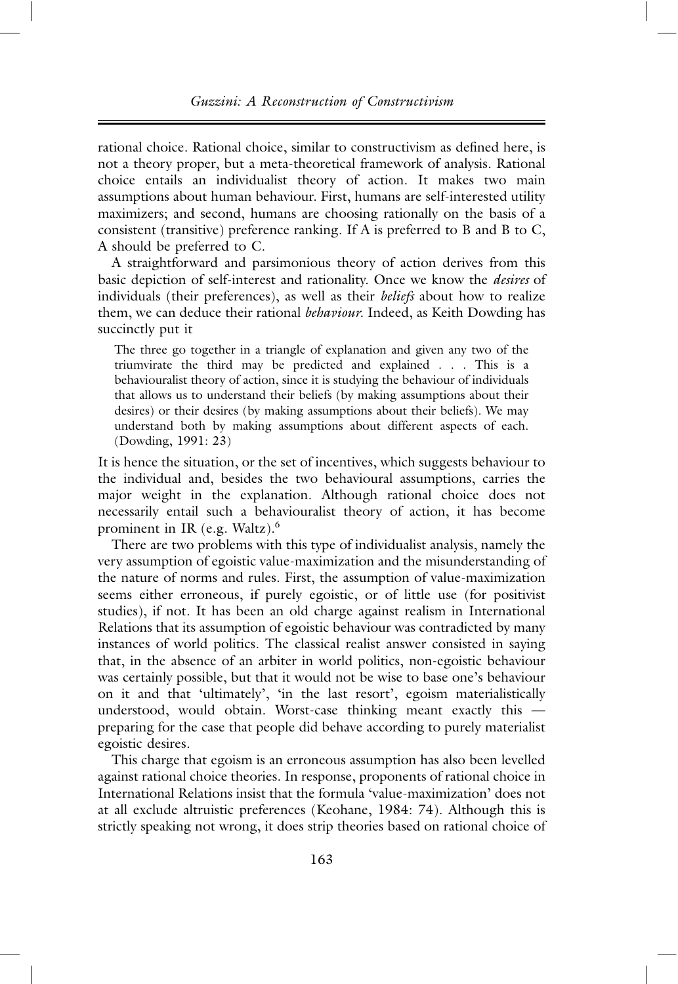rational choice. Rational choice, similar to constructivism as defined here, is not a theory proper, but a meta-theoretical framework of analysis. Rational choice entails an individualist theory of action. It makes two main assumptions about human behaviour. First, humans are self-interested utility maximizers; and second, humans are choosing rationally on the basis of a consistent (transitive) preference ranking. If A is preferred to B and B to C, A should be preferred to C.

A straightforward and parsimonious theory of action derives from this basic depiction of self-interest and rationality. Once we know the *desires* of individuals (their preferences), as well as their *beliefs* about how to realize them, we can deduce their rational *behaviour*. Indeed, as Keith Dowding has succinctly put it

The three go together in a triangle of explanation and given any two of the triumvirate the third may be predicted and explained . . . This is a behaviouralist theory of action, since it is studying the behaviour of individuals that allows us to understand their beliefs (by making assumptions about their desires) or their desires (by making assumptions about their beliefs). We may understand both by making assumptions about different aspects of each. (Dowding, 1991: 23)

It is hence the situation, or the set of incentives, which suggests behaviour to the individual and, besides the two behavioural assumptions, carries the major weight in the explanation. Although rational choice does not necessarily entail such a behaviouralist theory of action, it has become prominent in IR (e.g. Waltz).6

There are two problems with this type of individualist analysis, namely the very assumption of egoistic value-maximization and the misunderstanding of the nature of norms and rules. First, the assumption of value-maximization seems either erroneous, if purely egoistic, or of little use (for positivist studies), if not. It has been an old charge against realism in International Relations that its assumption of egoistic behaviour was contradicted by many instances of world politics. The classical realist answer consisted in saying that, in the absence of an arbiter in world politics, non-egoistic behaviour was certainly possible, but that it would not be wise to base one's behaviour on it and that 'ultimately', 'in the last resort', egoism materialistically understood, would obtain. Worst-case thinking meant exactly this preparing for the case that people did behave according to purely materialist egoistic desires.

This charge that egoism is an erroneous assumption has also been levelled against rational choice theories. In response, proponents of rational choice in International Relations insist that the formula 'value-maximization' does not at all exclude altruistic preferences (Keohane, 1984: 74). Although this is strictly speaking not wrong, it does strip theories based on rational choice of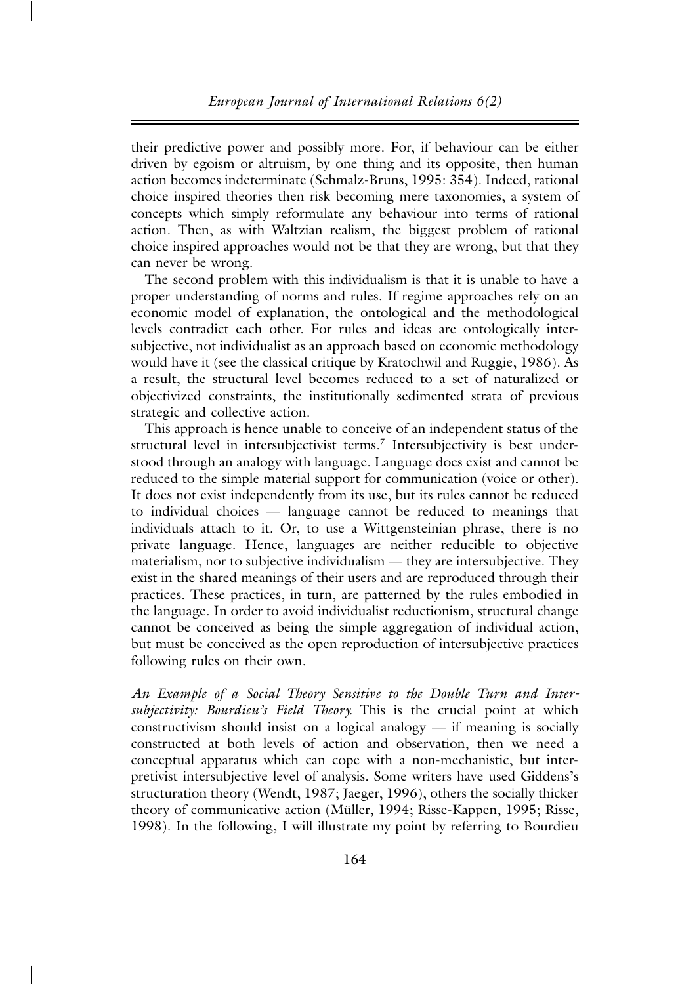their predictive power and possibly more. For, if behaviour can be either driven by egoism or altruism, by one thing and its opposite, then human action becomes indeterminate (Schmalz-Bruns, 1995: 354). Indeed, rational choice inspired theories then risk becoming mere taxonomies, a system of concepts which simply reformulate any behaviour into terms of rational action. Then, as with Waltzian realism, the biggest problem of rational choice inspired approaches would not be that they are wrong, but that they can never be wrong.

The second problem with this individualism is that it is unable to have a proper understanding of norms and rules. If regime approaches rely on an economic model of explanation, the ontological and the methodological levels contradict each other. For rules and ideas are ontologically intersubjective, not individualist as an approach based on economic methodology would have it (see the classical critique by Kratochwil and Ruggie, 1986). As a result, the structural level becomes reduced to a set of naturalized or objectivized constraints, the institutionally sedimented strata of previous strategic and collective action.

This approach is hence unable to conceive of an independent status of the structural level in intersubjectivist terms.<sup>7</sup> Intersubjectivity is best understood through an analogy with language. Language does exist and cannot be reduced to the simple material support for communication (voice or other). It does not exist independently from its use, but its rules cannot be reduced to individual choices — language cannot be reduced to meanings that individuals attach to it. Or, to use a Wittgensteinian phrase, there is no private language. Hence, languages are neither reducible to objective materialism, nor to subjective individualism — they are intersubjective. They exist in the shared meanings of their users and are reproduced through their practices. These practices, in turn, are patterned by the rules embodied in the language. In order to avoid individualist reductionism, structural change cannot be conceived as being the simple aggregation of individual action, but must be conceived as the open reproduction of intersubjective practices following rules on their own.

*An Example of a Social Theory Sensitive to the Double Turn and Intersubjectivity: Bourdieu's Field Theory*. This is the crucial point at which constructivism should insist on a logical analogy — if meaning is socially constructed at both levels of action and observation, then we need a conceptual apparatus which can cope with a non-mechanistic, but interpretivist intersubjective level of analysis. Some writers have used Giddens's structuration theory (Wendt, 1987; Jaeger, 1996), others the socially thicker theory of communicative action (Müller, 1994; Risse-Kappen, 1995; Risse, 1998). In the following, I will illustrate my point by referring to Bourdieu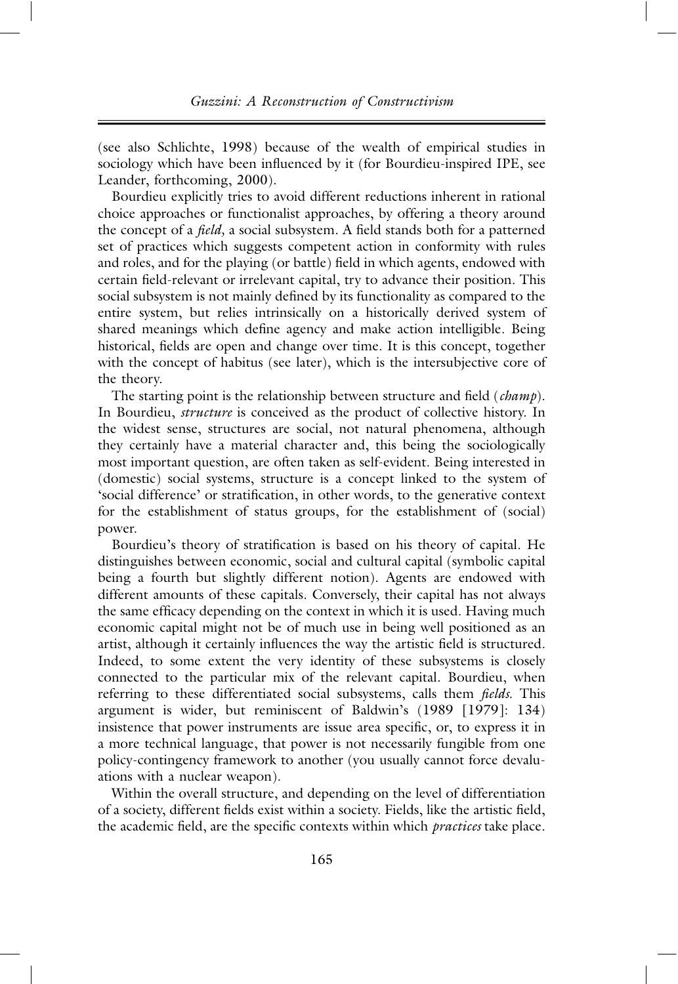(see also Schlichte, 1998) because of the wealth of empirical studies in sociology which have been influenced by it (for Bourdieu-inspired IPE, see Leander, forthcoming, 2000).

Bourdieu explicitly tries to avoid different reductions inherent in rational choice approaches or functionalist approaches, by offering a theory around the concept of a *field,* a social subsystem. A field stands both for a patterned set of practices which suggests competent action in conformity with rules and roles, and for the playing (or battle) field in which agents, endowed with certain field-relevant or irrelevant capital, try to advance their position. This social subsystem is not mainly defined by its functionality as compared to the entire system, but relies intrinsically on a historically derived system of shared meanings which define agency and make action intelligible. Being historical, fields are open and change over time. It is this concept, together with the concept of habitus (see later), which is the intersubjective core of the theory.

The starting point is the relationship between structure and field (*champ*). In Bourdieu, *structure* is conceived as the product of collective history. In the widest sense, structures are social, not natural phenomena, although they certainly have a material character and, this being the sociologically most important question, are often taken as self-evident. Being interested in (domestic) social systems, structure is a concept linked to the system of 'social difference' or stratification, in other words, to the generative context for the establishment of status groups, for the establishment of (social) power.

Bourdieu's theory of stratification is based on his theory of capital. He distinguishes between economic, social and cultural capital (symbolic capital being a fourth but slightly different notion). Agents are endowed with different amounts of these capitals. Conversely, their capital has not always the same efficacy depending on the context in which it is used. Having much economic capital might not be of much use in being well positioned as an artist, although it certainly influences the way the artistic field is structured. Indeed, to some extent the very identity of these subsystems is closely connected to the particular mix of the relevant capital. Bourdieu, when referring to these differentiated social subsystems, calls them *fields*. This argument is wider, but reminiscent of Baldwin's (1989 [1979]: 134) insistence that power instruments are issue area specific, or, to express it in a more technical language, that power is not necessarily fungible from one policy-contingency framework to another (you usually cannot force devaluations with a nuclear weapon).

Within the overall structure, and depending on the level of differentiation of a society, different fields exist within a society. Fields, like the artistic field, the academic field, are the specific contexts within which *practices* take place.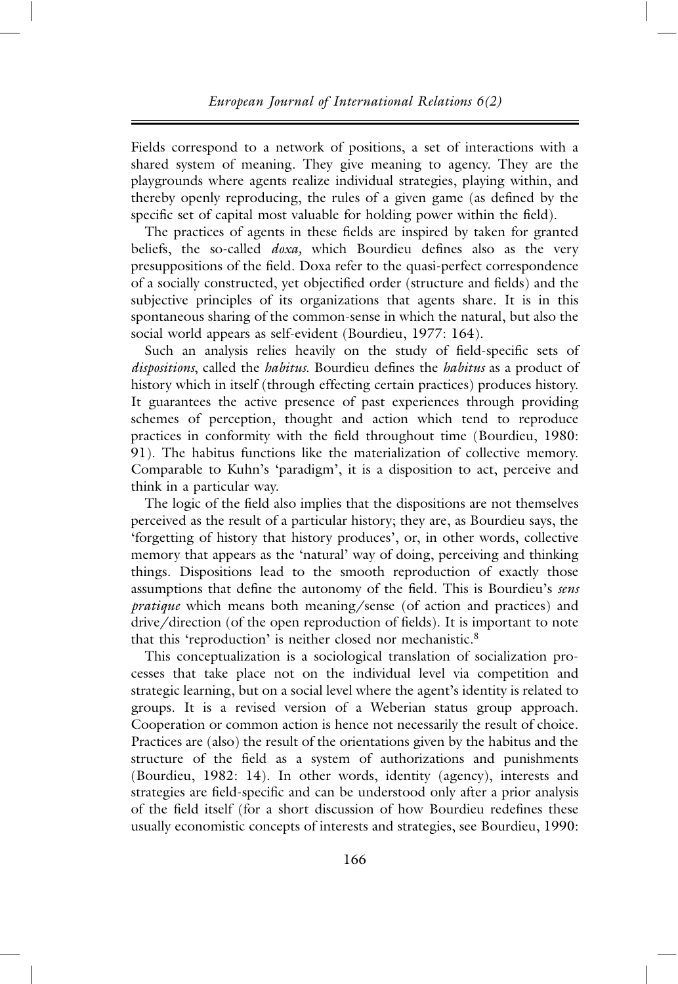Fields correspond to a network of positions, a set of interactions with a shared system of meaning. They give meaning to agency. They are the playgrounds where agents realize individual strategies, playing within, and thereby openly reproducing, the rules of a given game (as defined by the specific set of capital most valuable for holding power within the field).

The practices of agents in these fields are inspired by taken for granted beliefs, the so-called *doxa,* which Bourdieu defines also as the very presuppositions of the field. Doxa refer to the quasi-perfect correspondence of a socially constructed, yet objectified order (structure and fields) and the subjective principles of its organizations that agents share. It is in this spontaneous sharing of the common-sense in which the natural, but also the social world appears as self-evident (Bourdieu, 1977: 164).

Such an analysis relies heavily on the study of field-specific sets of *dispositions*, called the *habitus*. Bourdieu defines the *habitus* as a product of history which in itself (through effecting certain practices) produces history. It guarantees the active presence of past experiences through providing schemes of perception, thought and action which tend to reproduce practices in conformity with the field throughout time (Bourdieu, 1980: 91). The habitus functions like the materialization of collective memory. Comparable to Kuhn's 'paradigm', it is a disposition to act, perceive and think in a particular way.

The logic of the field also implies that the dispositions are not themselves perceived as the result of a particular history; they are, as Bourdieu says, the 'forgetting of history that history produces', or, in other words, collective memory that appears as the 'natural' way of doing, perceiving and thinking things. Dispositions lead to the smooth reproduction of exactly those assumptions that define the autonomy of the field. This is Bourdieu's *sens pratique* which means both meaning/sense (of action and practices) and drive/direction (of the open reproduction of fields). It is important to note that this 'reproduction' is neither closed nor mechanistic.8

This conceptualization is a sociological translation of socialization processes that take place not on the individual level via competition and strategic learning, but on a social level where the agent's identity is related to groups. It is a revised version of a Weberian status group approach. Cooperation or common action is hence not necessarily the result of choice. Practices are (also) the result of the orientations given by the habitus and the structure of the field as a system of authorizations and punishments (Bourdieu, 1982: 14). In other words, identity (agency), interests and strategies are field-specific and can be understood only after a prior analysis of the field itself (for a short discussion of how Bourdieu redefines these usually economistic concepts of interests and strategies, see Bourdieu, 1990: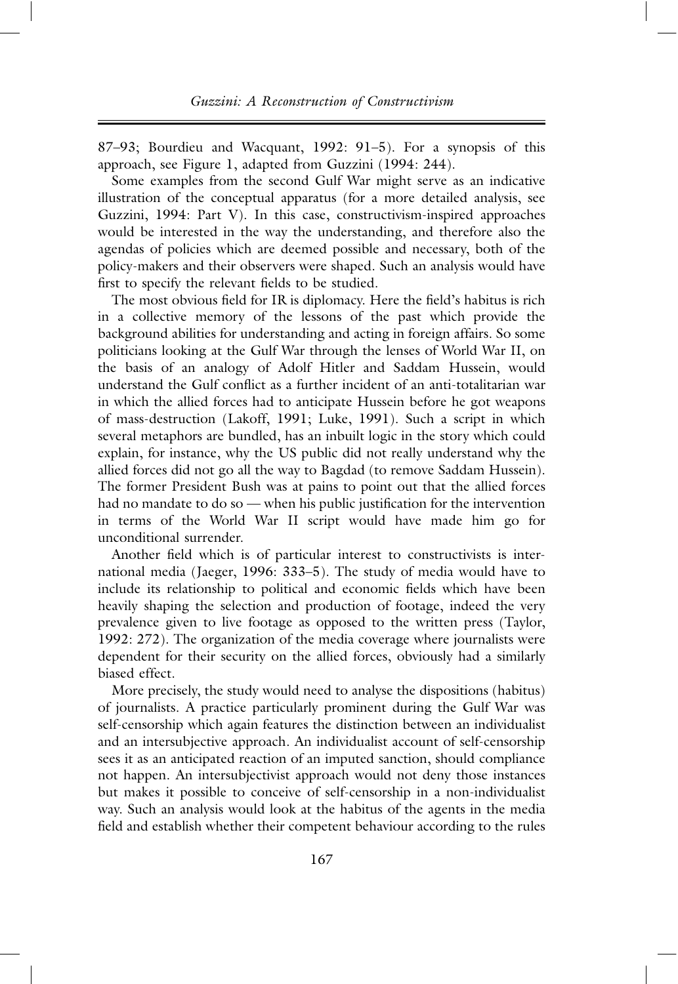87–93; Bourdieu and Wacquant, 1992: 91–5). For a synopsis of this approach, see Figure 1, adapted from Guzzini (1994: 244).

Some examples from the second Gulf War might serve as an indicative illustration of the conceptual apparatus (for a more detailed analysis, see Guzzini, 1994: Part V). In this case, constructivism-inspired approaches would be interested in the way the understanding, and therefore also the agendas of policies which are deemed possible and necessary, both of the policy-makers and their observers were shaped. Such an analysis would have first to specify the relevant fields to be studied.

The most obvious field for IR is diplomacy. Here the field's habitus is rich in a collective memory of the lessons of the past which provide the background abilities for understanding and acting in foreign affairs. So some politicians looking at the Gulf War through the lenses of World War II, on the basis of an analogy of Adolf Hitler and Saddam Hussein, would understand the Gulf conflict as a further incident of an anti-totalitarian war in which the allied forces had to anticipate Hussein before he got weapons of mass-destruction (Lakoff, 1991; Luke, 1991). Such a script in which several metaphors are bundled, has an inbuilt logic in the story which could explain, for instance, why the US public did not really understand why the allied forces did not go all the way to Bagdad (to remove Saddam Hussein). The former President Bush was at pains to point out that the allied forces had no mandate to do so — when his public justification for the intervention in terms of the World War II script would have made him go for unconditional surrender.

Another field which is of particular interest to constructivists is international media (Jaeger, 1996: 333–5). The study of media would have to include its relationship to political and economic fields which have been heavily shaping the selection and production of footage, indeed the very prevalence given to live footage as opposed to the written press (Taylor, 1992: 272). The organization of the media coverage where journalists were dependent for their security on the allied forces, obviously had a similarly biased effect.

More precisely, the study would need to analyse the dispositions (habitus) of journalists. A practice particularly prominent during the Gulf War was self-censorship which again features the distinction between an individualist and an intersubjective approach. An individualist account of self-censorship sees it as an anticipated reaction of an imputed sanction, should compliance not happen. An intersubjectivist approach would not deny those instances but makes it possible to conceive of self-censorship in a non-individualist way. Such an analysis would look at the habitus of the agents in the media field and establish whether their competent behaviour according to the rules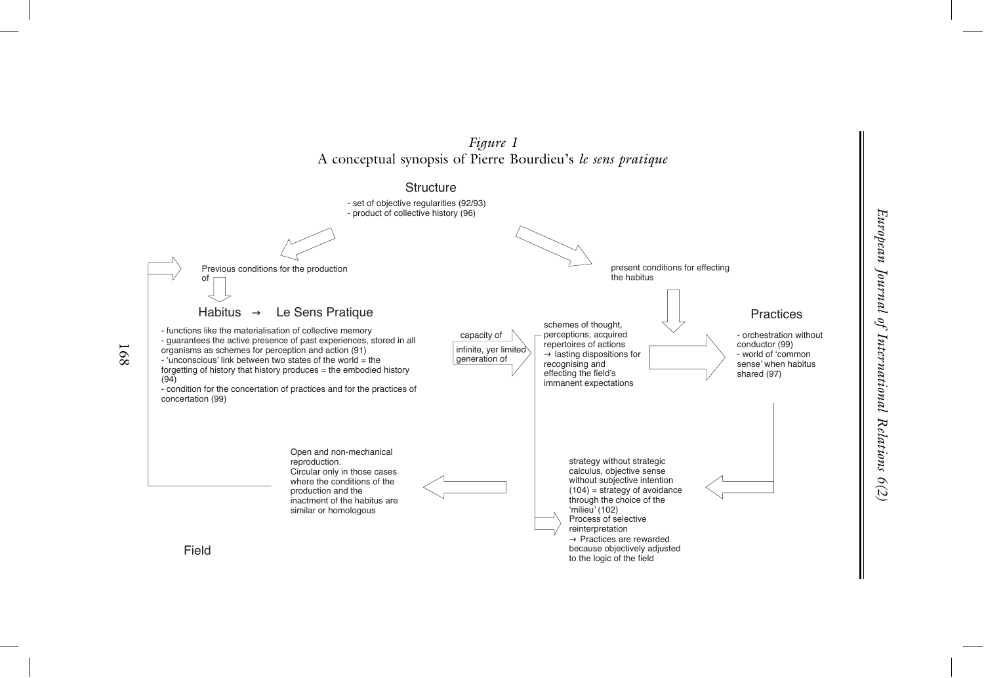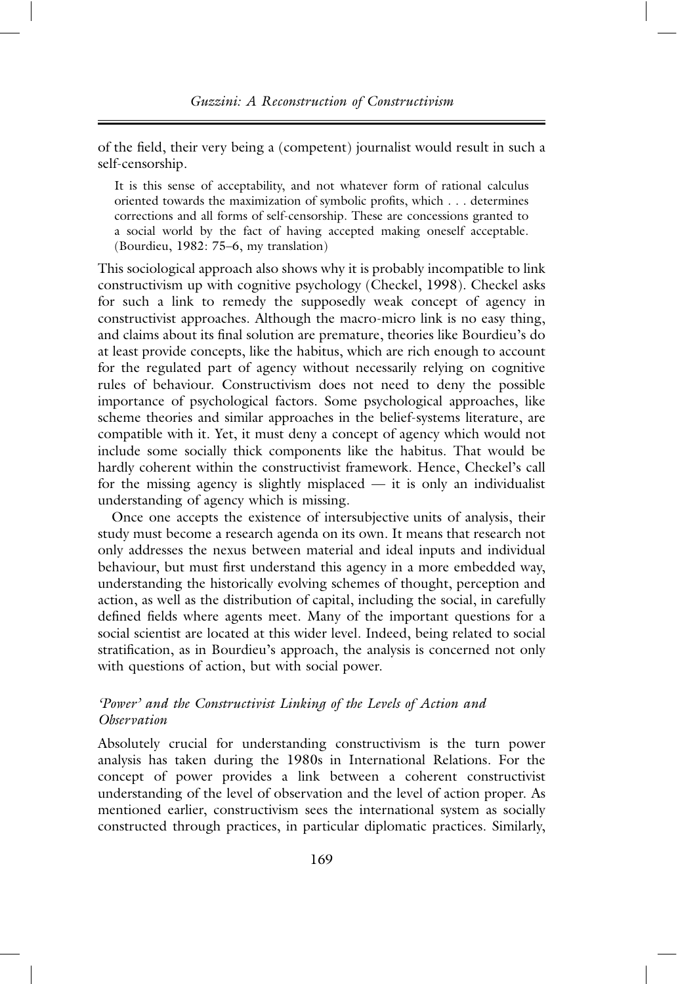of the field, their very being a (competent) journalist would result in such a self-censorship.

It is this sense of acceptability, and not whatever form of rational calculus oriented towards the maximization of symbolic profits, which . . . determines corrections and all forms of self-censorship. These are concessions granted to a social world by the fact of having accepted making oneself acceptable. (Bourdieu, 1982: 75–6, my translation)

This sociological approach also shows why it is probably incompatible to link constructivism up with cognitive psychology (Checkel, 1998). Checkel asks for such a link to remedy the supposedly weak concept of agency in constructivist approaches. Although the macro-micro link is no easy thing, and claims about its final solution are premature, theories like Bourdieu's do at least provide concepts, like the habitus, which are rich enough to account for the regulated part of agency without necessarily relying on cognitive rules of behaviour. Constructivism does not need to deny the possible importance of psychological factors. Some psychological approaches, like scheme theories and similar approaches in the belief-systems literature, are compatible with it. Yet, it must deny a concept of agency which would not include some socially thick components like the habitus. That would be hardly coherent within the constructivist framework. Hence, Checkel's call for the missing agency is slightly misplaced  $-$  it is only an individualist understanding of agency which is missing.

Once one accepts the existence of intersubjective units of analysis, their study must become a research agenda on its own. It means that research not only addresses the nexus between material and ideal inputs and individual behaviour, but must first understand this agency in a more embedded way, understanding the historically evolving schemes of thought, perception and action, as well as the distribution of capital, including the social, in carefully defined fields where agents meet. Many of the important questions for a social scientist are located at this wider level. Indeed, being related to social stratification, as in Bourdieu's approach, the analysis is concerned not only with questions of action, but with social power.

### *'Power' and the Constructivist Linking of the Levels of Action and Observation*

Absolutely crucial for understanding constructivism is the turn power analysis has taken during the 1980s in International Relations. For the concept of power provides a link between a coherent constructivist understanding of the level of observation and the level of action proper. As mentioned earlier, constructivism sees the international system as socially constructed through practices, in particular diplomatic practices. Similarly,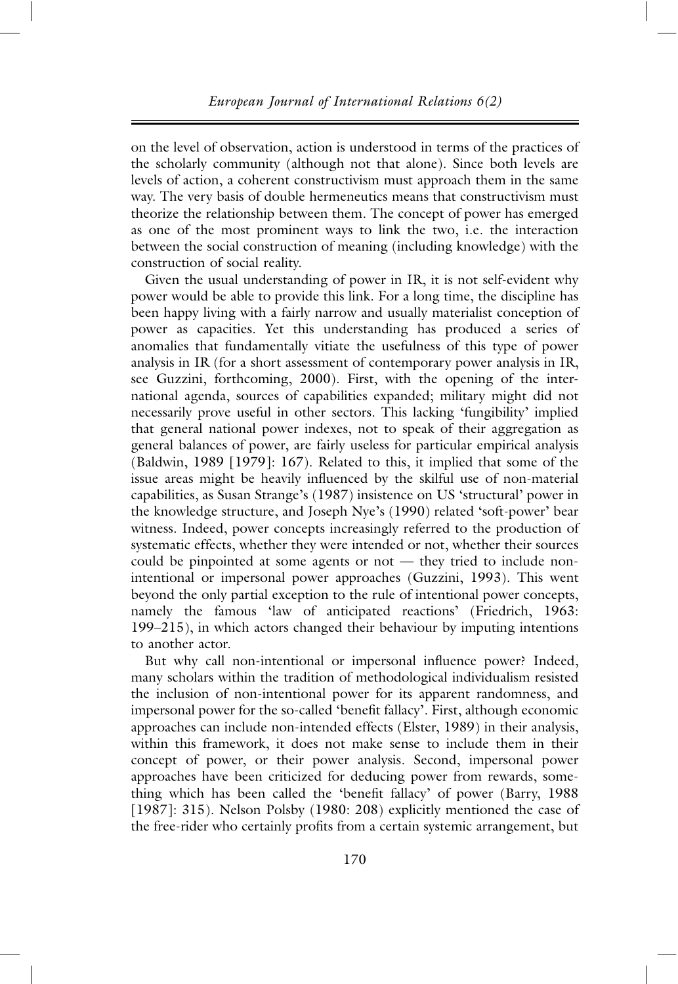on the level of observation, action is understood in terms of the practices of the scholarly community (although not that alone). Since both levels are levels of action, a coherent constructivism must approach them in the same way. The very basis of double hermeneutics means that constructivism must theorize the relationship between them. The concept of power has emerged as one of the most prominent ways to link the two, i.e. the interaction between the social construction of meaning (including knowledge) with the construction of social reality.

Given the usual understanding of power in IR, it is not self-evident why power would be able to provide this link. For a long time, the discipline has been happy living with a fairly narrow and usually materialist conception of power as capacities. Yet this understanding has produced a series of anomalies that fundamentally vitiate the usefulness of this type of power analysis in IR (for a short assessment of contemporary power analysis in IR, see Guzzini, forthcoming, 2000). First, with the opening of the international agenda, sources of capabilities expanded; military might did not necessarily prove useful in other sectors. This lacking 'fungibility' implied that general national power indexes, not to speak of their aggregation as general balances of power, are fairly useless for particular empirical analysis (Baldwin, 1989 [1979]: 167). Related to this, it implied that some of the issue areas might be heavily influenced by the skilful use of non-material capabilities, as Susan Strange's (1987) insistence on US 'structural' power in the knowledge structure, and Joseph Nye's (1990) related 'soft-power' bear witness. Indeed, power concepts increasingly referred to the production of systematic effects, whether they were intended or not, whether their sources could be pinpointed at some agents or not — they tried to include nonintentional or impersonal power approaches (Guzzini, 1993). This went beyond the only partial exception to the rule of intentional power concepts, namely the famous 'law of anticipated reactions' (Friedrich, 1963: 199–215), in which actors changed their behaviour by imputing intentions to another actor.

But why call non-intentional or impersonal influence power? Indeed, many scholars within the tradition of methodological individualism resisted the inclusion of non-intentional power for its apparent randomness, and impersonal power for the so-called 'benefit fallacy'. First, although economic approaches can include non-intended effects (Elster, 1989) in their analysis, within this framework, it does not make sense to include them in their concept of power, or their power analysis. Second, impersonal power approaches have been criticized for deducing power from rewards, something which has been called the 'benefit fallacy' of power (Barry, 1988 [1987]: 315). Nelson Polsby (1980: 208) explicitly mentioned the case of the free-rider who certainly profits from a certain systemic arrangement, but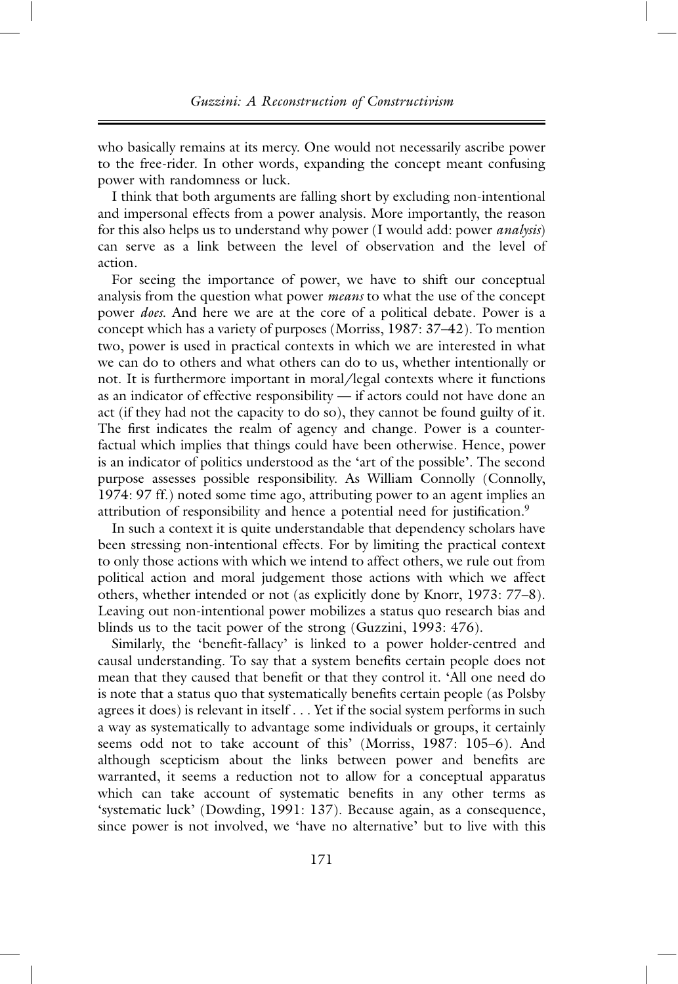who basically remains at its mercy. One would not necessarily ascribe power to the free-rider. In other words, expanding the concept meant confusing power with randomness or luck.

I think that both arguments are falling short by excluding non-intentional and impersonal effects from a power analysis. More importantly, the reason for this also helps us to understand why power (I would add: power *analysis*) can serve as a link between the level of observation and the level of action.

For seeing the importance of power, we have to shift our conceptual analysis from the question what power *means* to what the use of the concept power *does*. And here we are at the core of a political debate. Power is a concept which has a variety of purposes (Morriss, 1987: 37–42). To mention two, power is used in practical contexts in which we are interested in what we can do to others and what others can do to us, whether intentionally or not. It is furthermore important in moral/legal contexts where it functions as an indicator of effective responsibility — if actors could not have done an act (if they had not the capacity to do so), they cannot be found guilty of it. The first indicates the realm of agency and change. Power is a counterfactual which implies that things could have been otherwise. Hence, power is an indicator of politics understood as the 'art of the possible'. The second purpose assesses possible responsibility. As William Connolly (Connolly, 1974: 97 ff.) noted some time ago, attributing power to an agent implies an attribution of responsibility and hence a potential need for justification.9

In such a context it is quite understandable that dependency scholars have been stressing non-intentional effects. For by limiting the practical context to only those actions with which we intend to affect others, we rule out from political action and moral judgement those actions with which we affect others, whether intended or not (as explicitly done by Knorr, 1973: 77–8). Leaving out non-intentional power mobilizes a status quo research bias and blinds us to the tacit power of the strong (Guzzini, 1993: 476).

Similarly, the 'benefit-fallacy' is linked to a power holder-centred and causal understanding. To say that a system benefits certain people does not mean that they caused that benefit or that they control it. 'All one need do is note that a status quo that systematically benefits certain people (as Polsby agrees it does) is relevant in itself . . . Yet if the social system performs in such a way as systematically to advantage some individuals or groups, it certainly seems odd not to take account of this' (Morriss, 1987: 105–6). And although scepticism about the links between power and benefits are warranted, it seems a reduction not to allow for a conceptual apparatus which can take account of systematic benefits in any other terms as 'systematic luck' (Dowding, 1991: 137). Because again, as a consequence, since power is not involved, we 'have no alternative' but to live with this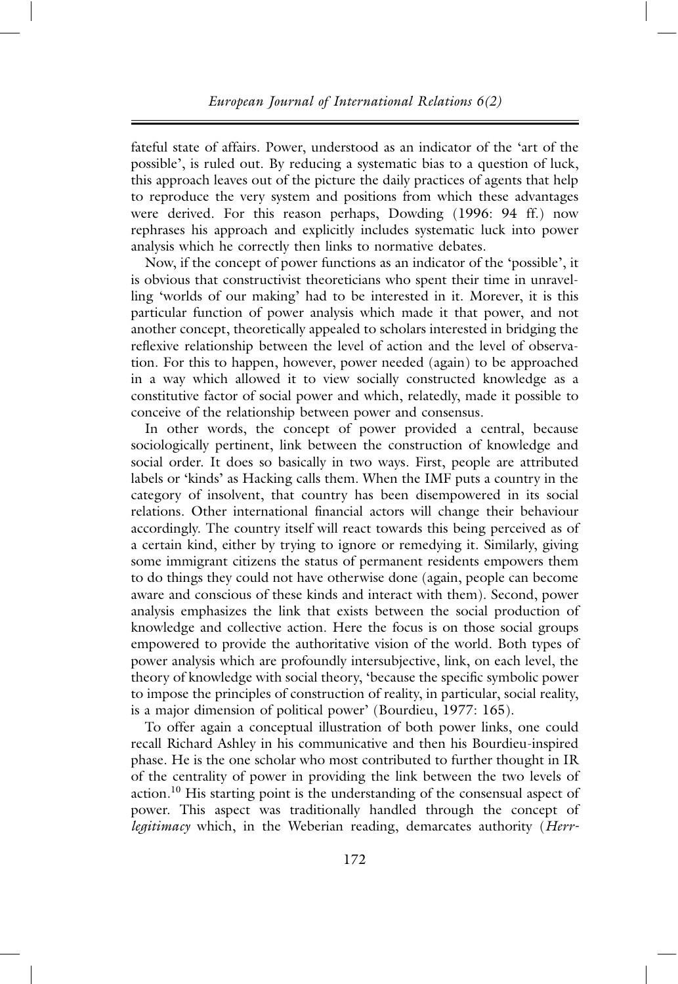fateful state of affairs. Power, understood as an indicator of the 'art of the possible', is ruled out. By reducing a systematic bias to a question of luck, this approach leaves out of the picture the daily practices of agents that help to reproduce the very system and positions from which these advantages were derived. For this reason perhaps, Dowding (1996: 94 ff.) now rephrases his approach and explicitly includes systematic luck into power analysis which he correctly then links to normative debates.

Now, if the concept of power functions as an indicator of the 'possible', it is obvious that constructivist theoreticians who spent their time in unravelling 'worlds of our making' had to be interested in it. Morever, it is this particular function of power analysis which made it that power, and not another concept, theoretically appealed to scholars interested in bridging the reflexive relationship between the level of action and the level of observation. For this to happen, however, power needed (again) to be approached in a way which allowed it to view socially constructed knowledge as a constitutive factor of social power and which, relatedly, made it possible to conceive of the relationship between power and consensus.

In other words, the concept of power provided a central, because sociologically pertinent, link between the construction of knowledge and social order. It does so basically in two ways. First, people are attributed labels or 'kinds' as Hacking calls them. When the IMF puts a country in the category of insolvent, that country has been disempowered in its social relations. Other international financial actors will change their behaviour accordingly. The country itself will react towards this being perceived as of a certain kind, either by trying to ignore or remedying it. Similarly, giving some immigrant citizens the status of permanent residents empowers them to do things they could not have otherwise done (again, people can become aware and conscious of these kinds and interact with them). Second, power analysis emphasizes the link that exists between the social production of knowledge and collective action. Here the focus is on those social groups empowered to provide the authoritative vision of the world. Both types of power analysis which are profoundly intersubjective, link, on each level, the theory of knowledge with social theory, 'because the specific symbolic power to impose the principles of construction of reality, in particular, social reality, is a major dimension of political power' (Bourdieu, 1977: 165).

To offer again a conceptual illustration of both power links, one could recall Richard Ashley in his communicative and then his Bourdieu-inspired phase. He is the one scholar who most contributed to further thought in IR of the centrality of power in providing the link between the two levels of action.10 His starting point is the understanding of the consensual aspect of power. This aspect was traditionally handled through the concept of *legitimacy* which, in the Weberian reading, demarcates authority (*Herr-*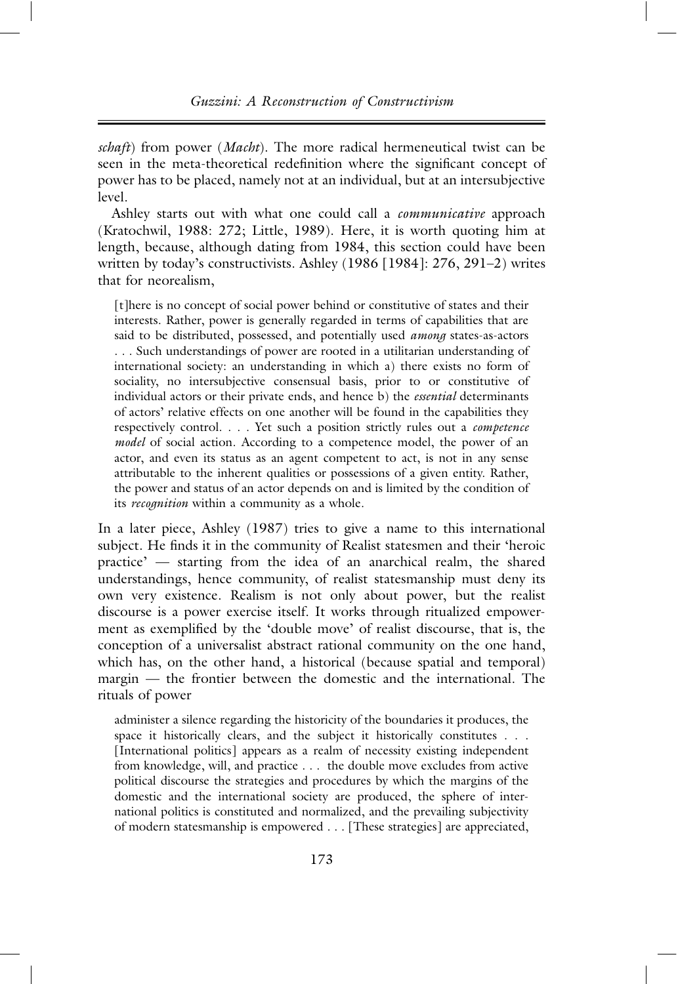*schaft*) from power (*Macht*). The more radical hermeneutical twist can be seen in the meta-theoretical redefinition where the significant concept of power has to be placed, namely not at an individual, but at an intersubjective level.

Ashley starts out with what one could call a *communicative* approach (Kratochwil, 1988: 272; Little, 1989). Here, it is worth quoting him at length, because, although dating from 1984, this section could have been written by today's constructivists. Ashley (1986 [1984]: 276, 291-2) writes that for neorealism,

[t]here is no concept of social power behind or constitutive of states and their interests. Rather, power is generally regarded in terms of capabilities that are said to be distributed, possessed, and potentially used *among* states-as-actors . . . Such understandings of power are rooted in a utilitarian understanding of international society: an understanding in which a) there exists no form of sociality, no intersubjective consensual basis, prior to or constitutive of individual actors or their private ends, and hence b) the *essential* determinants of actors' relative effects on one another will be found in the capabilities they respectively control. . . . Yet such a position strictly rules out a *competence model* of social action. According to a competence model, the power of an actor, and even its status as an agent competent to act, is not in any sense attributable to the inherent qualities or possessions of a given entity. Rather, the power and status of an actor depends on and is limited by the condition of its *recognition* within a community as a whole.

In a later piece, Ashley (1987) tries to give a name to this international subject. He finds it in the community of Realist statesmen and their 'heroic practice' — starting from the idea of an anarchical realm, the shared understandings, hence community, of realist statesmanship must deny its own very existence. Realism is not only about power, but the realist discourse is a power exercise itself. It works through ritualized empowerment as exemplified by the 'double move' of realist discourse, that is, the conception of a universalist abstract rational community on the one hand, which has, on the other hand, a historical (because spatial and temporal) margin — the frontier between the domestic and the international. The rituals of power

administer a silence regarding the historicity of the boundaries it produces, the space it historically clears, and the subject it historically constitutes . . . [International politics] appears as a realm of necessity existing independent from knowledge, will, and practice . . . the double move excludes from active political discourse the strategies and procedures by which the margins of the domestic and the international society are produced, the sphere of international politics is constituted and normalized, and the prevailing subjectivity of modern statesmanship is empowered . . . [These strategies] are appreciated,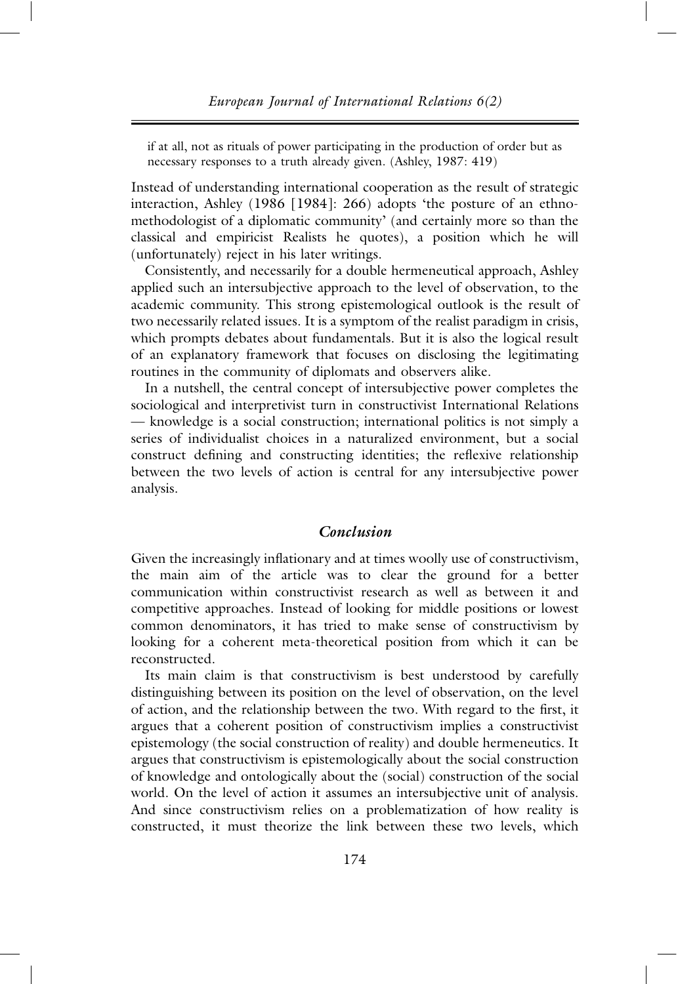if at all, not as rituals of power participating in the production of order but as necessary responses to a truth already given. (Ashley, 1987: 419)

Instead of understanding international cooperation as the result of strategic interaction, Ashley (1986 [1984]: 266) adopts 'the posture of an ethnomethodologist of a diplomatic community' (and certainly more so than the classical and empiricist Realists he quotes), a position which he will (unfortunately) reject in his later writings.

Consistently, and necessarily for a double hermeneutical approach, Ashley applied such an intersubjective approach to the level of observation, to the academic community. This strong epistemological outlook is the result of two necessarily related issues. It is a symptom of the realist paradigm in crisis, which prompts debates about fundamentals. But it is also the logical result of an explanatory framework that focuses on disclosing the legitimating routines in the community of diplomats and observers alike.

In a nutshell, the central concept of intersubjective power completes the sociological and interpretivist turn in constructivist International Relations — knowledge is a social construction; international politics is not simply a series of individualist choices in a naturalized environment, but a social construct defining and constructing identities; the reflexive relationship between the two levels of action is central for any intersubjective power analysis.

#### *Conclusion*

Given the increasingly inflationary and at times woolly use of constructivism, the main aim of the article was to clear the ground for a better communication within constructivist research as well as between it and competitive approaches. Instead of looking for middle positions or lowest common denominators, it has tried to make sense of constructivism by looking for a coherent meta-theoretical position from which it can be reconstructed.

Its main claim is that constructivism is best understood by carefully distinguishing between its position on the level of observation, on the level of action, and the relationship between the two. With regard to the first, it argues that a coherent position of constructivism implies a constructivist epistemology (the social construction of reality) and double hermeneutics. It argues that constructivism is epistemologically about the social construction of knowledge and ontologically about the (social) construction of the social world. On the level of action it assumes an intersubjective unit of analysis. And since constructivism relies on a problematization of how reality is constructed, it must theorize the link between these two levels, which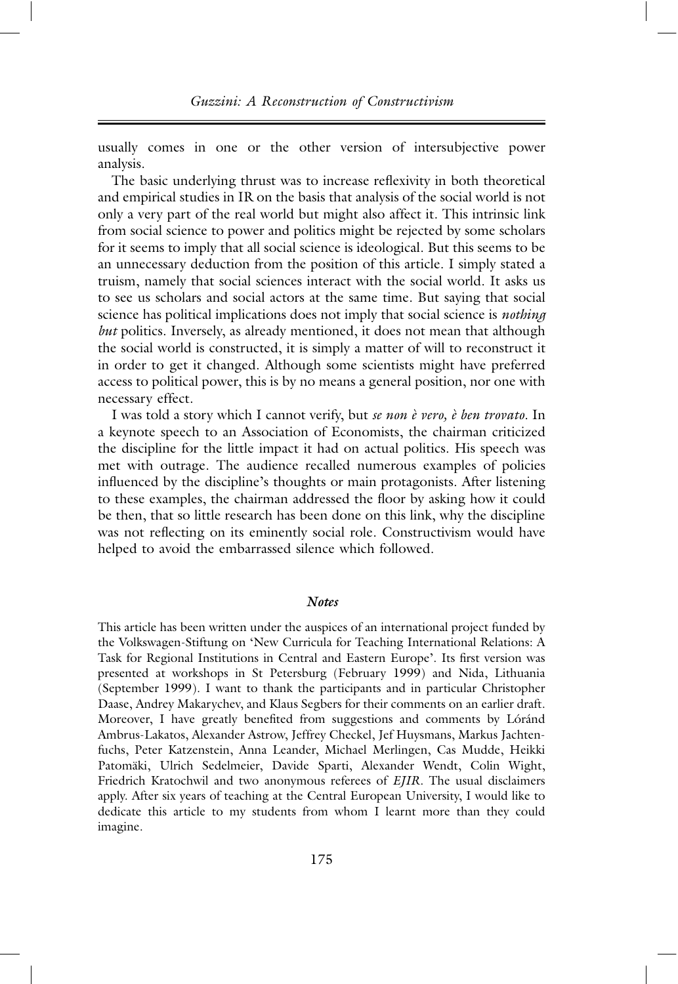usually comes in one or the other version of intersubjective power analysis.

The basic underlying thrust was to increase reflexivity in both theoretical and empirical studies in IR on the basis that analysis of the social world is not only a very part of the real world but might also affect it. This intrinsic link from social science to power and politics might be rejected by some scholars for it seems to imply that all social science is ideological. But this seems to be an unnecessary deduction from the position of this article. I simply stated a truism, namely that social sciences interact with the social world. It asks us to see us scholars and social actors at the same time. But saying that social science has political implications does not imply that social science is *nothing but* politics. Inversely, as already mentioned, it does not mean that although the social world is constructed, it is simply a matter of will to reconstruct it in order to get it changed. Although some scientists might have preferred access to political power, this is by no means a general position, nor one with necessary effect.

I was told a story which I cannot verify, but *se non è vero, è ben trovato*. In a keynote speech to an Association of Economists, the chairman criticized the discipline for the little impact it had on actual politics. His speech was met with outrage. The audience recalled numerous examples of policies influenced by the discipline's thoughts or main protagonists. After listening to these examples, the chairman addressed the floor by asking how it could be then, that so little research has been done on this link, why the discipline was not reflecting on its eminently social role. Constructivism would have helped to avoid the embarrassed silence which followed.

#### *Notes*

This article has been written under the auspices of an international project funded by the Volkswagen-Stiftung on 'New Curricula for Teaching International Relations: A Task for Regional Institutions in Central and Eastern Europe'. Its first version was presented at workshops in St Petersburg (February 1999) and Nida, Lithuania (September 1999). I want to thank the participants and in particular Christopher Daase, Andrey Makarychev, and Klaus Segbers for their comments on an earlier draft. Moreover, I have greatly benefited from suggestions and comments by Lóránd Ambrus-Lakatos, Alexander Astrow, Jeffrey Checkel, Jef Huysmans, Markus Jachtenfuchs, Peter Katzenstein, Anna Leander, Michael Merlingen, Cas Mudde, Heikki Patomäki, Ulrich Sedelmeier, Davide Sparti, Alexander Wendt, Colin Wight, Friedrich Kratochwil and two anonymous referees of *EJIR*. The usual disclaimers apply. After six years of teaching at the Central European University, I would like to dedicate this article to my students from whom I learnt more than they could imagine.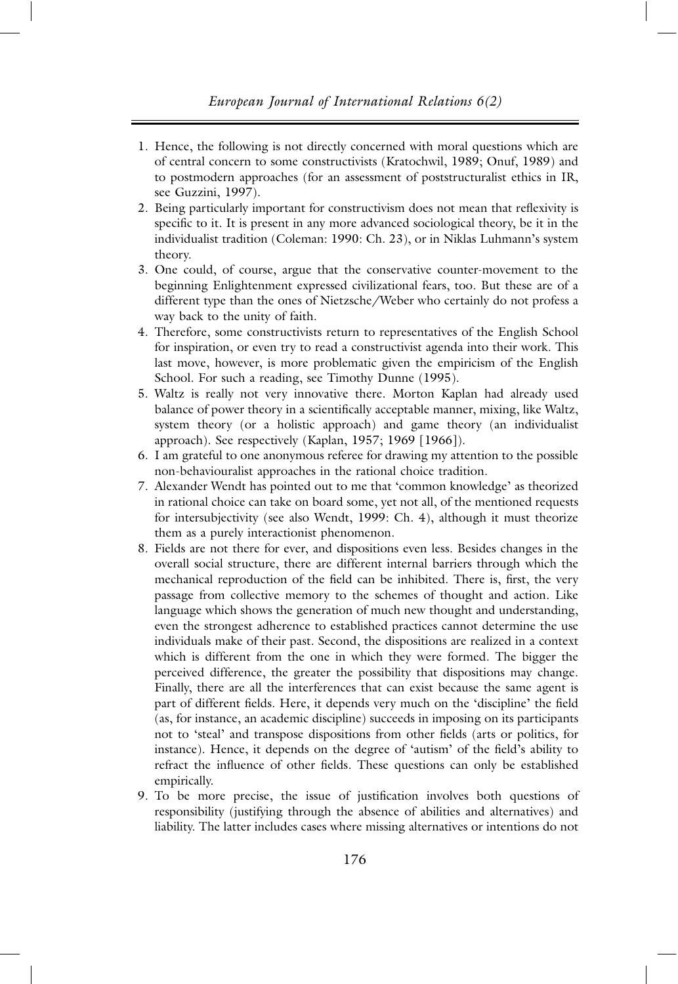- 1. Hence, the following is not directly concerned with moral questions which are of central concern to some constructivists (Kratochwil, 1989; Onuf, 1989) and to postmodern approaches (for an assessment of poststructuralist ethics in IR, see Guzzini, 1997).
- 2. Being particularly important for constructivism does not mean that reflexivity is specific to it. It is present in any more advanced sociological theory, be it in the individualist tradition (Coleman: 1990: Ch. 23), or in Niklas Luhmann's system theory.
- 3. One could, of course, argue that the conservative counter-movement to the beginning Enlightenment expressed civilizational fears, too. But these are of a different type than the ones of Nietzsche/Weber who certainly do not profess a way back to the unity of faith.
- 4. Therefore, some constructivists return to representatives of the English School for inspiration, or even try to read a constructivist agenda into their work. This last move, however, is more problematic given the empiricism of the English School. For such a reading, see Timothy Dunne (1995).
- 5. Waltz is really not very innovative there. Morton Kaplan had already used balance of power theory in a scientifically acceptable manner, mixing, like Waltz, system theory (or a holistic approach) and game theory (an individualist approach). See respectively (Kaplan, 1957; 1969 [1966]).
- 6. I am grateful to one anonymous referee for drawing my attention to the possible non-behaviouralist approaches in the rational choice tradition.
- 7. Alexander Wendt has pointed out to me that 'common knowledge' as theorized in rational choice can take on board some, yet not all, of the mentioned requests for intersubjectivity (see also Wendt, 1999: Ch. 4), although it must theorize them as a purely interactionist phenomenon.
- 8. Fields are not there for ever, and dispositions even less. Besides changes in the overall social structure, there are different internal barriers through which the mechanical reproduction of the field can be inhibited. There is, first, the very passage from collective memory to the schemes of thought and action. Like language which shows the generation of much new thought and understanding, even the strongest adherence to established practices cannot determine the use individuals make of their past. Second, the dispositions are realized in a context which is different from the one in which they were formed. The bigger the perceived difference, the greater the possibility that dispositions may change. Finally, there are all the interferences that can exist because the same agent is part of different fields. Here, it depends very much on the 'discipline' the field (as, for instance, an academic discipline) succeeds in imposing on its participants not to 'steal' and transpose dispositions from other fields (arts or politics, for instance). Hence, it depends on the degree of 'autism' of the field's ability to refract the influence of other fields. These questions can only be established empirically.
- 9. To be more precise, the issue of justification involves both questions of responsibility (justifying through the absence of abilities and alternatives) and liability. The latter includes cases where missing alternatives or intentions do not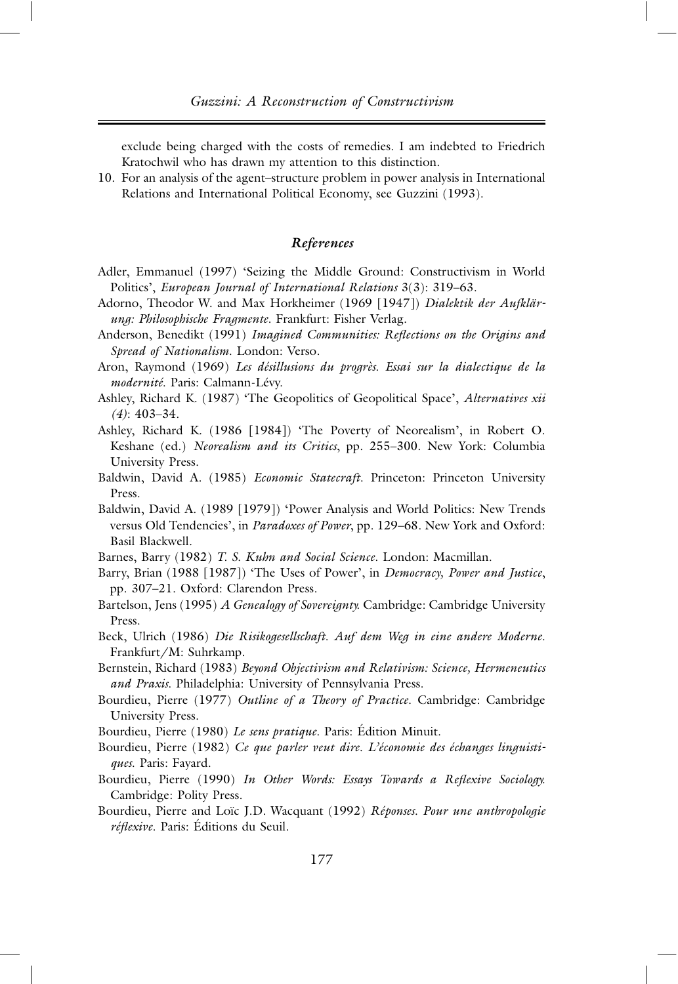exclude being charged with the costs of remedies. I am indebted to Friedrich Kratochwil who has drawn my attention to this distinction.

10. For an analysis of the agent–structure problem in power analysis in International Relations and International Political Economy, see Guzzini (1993).

#### *References*

- Adler, Emmanuel (1997) 'Seizing the Middle Ground: Constructivism in World Politics', *European Journal of International Relations* 3(3): 319–63.
- Adorno, Theodor W. and Max Horkheimer (1969 [1947]) *Dialektik der Aufklärung: Philosophische Fragmente*. Frankfurt: Fisher Verlag.
- Anderson, Benedikt (1991) *Imagined Communities: Reflections on the Origins and Spread of Nationalism*. London: Verso.
- Aron, Raymond (1969) *Les désillusions du progrès. Essai sur la dialectique de la modernité*. Paris: Calmann-Lévy.
- Ashley, Richard K. (1987) 'The Geopolitics of Geopolitical Space', *Alternatives xii (4)*: 403–34.
- Ashley, Richard K. (1986 [1984]) 'The Poverty of Neorealism', in Robert O. Keshane (ed.) *Neorealism and its Critics*, pp. 255–300. New York: Columbia University Press.
- Baldwin, David A. (1985) *Economic Statecraft*. Princeton: Princeton University Press.
- Baldwin, David A. (1989 [1979]) 'Power Analysis and World Politics: New Trends versus Old Tendencies', in *Paradoxes of Power*, pp. 129–68. New York and Oxford: Basil Blackwell.
- Barnes, Barry (1982) *T. S. Kuhn and Social Science*. London: Macmillan.
- Barry, Brian (1988 [1987]) 'The Uses of Power', in *Democracy, Power and Justice*, pp. 307–21. Oxford: Clarendon Press.
- Bartelson, Jens (1995) *A Genealogy of Sovereignty*. Cambridge: Cambridge University Press.
- Beck, Ulrich (1986) *Die Risikogesellschaft. Auf dem Weg in eine andere Moderne*. Frankfurt/M: Suhrkamp.
- Bernstein, Richard (1983) *Beyond Objectivism and Relativism: Science, Hermeneutics and Praxis*. Philadelphia: University of Pennsylvania Press.
- Bourdieu, Pierre (1977) *Outline of a Theory of Practice*. Cambridge: Cambridge University Press.

Bourdieu, Pierre (1980) *Le sens pratique*. Paris: Édition Minuit.

- Bourdieu, Pierre (1982) *Ce que parler veut dire. L'économie des échanges linguistiques*. Paris: Fayard.
- Bourdieu, Pierre (1990) *In Other Words: Essays Towards a Reflexive Sociology*. Cambridge: Polity Press.
- Bourdieu, Pierre and Loïc J.D. Wacquant (1992) *Réponses. Pour une anthropologie réflexive*. Paris: Éditions du Seuil.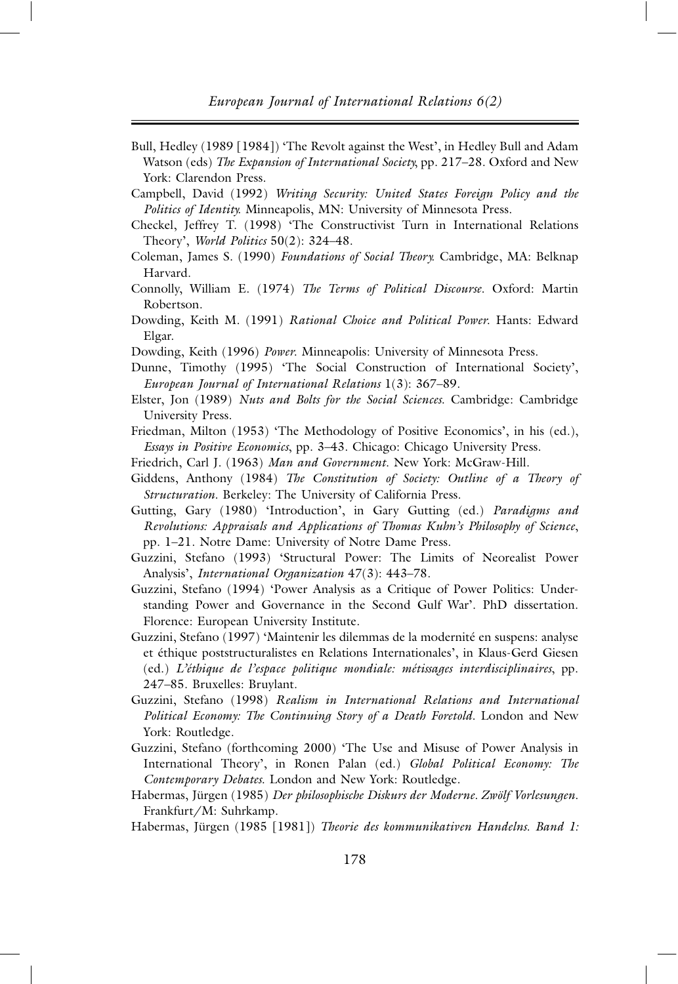- Bull, Hedley (1989 [1984]) 'The Revolt against the West', in Hedley Bull and Adam Watson (eds) *The Expansion of International Society*, pp. 217–28. Oxford and New York: Clarendon Press.
- Campbell, David (1992) *Writing Security: United States Foreign Policy and the Politics of Identity*. Minneapolis, MN: University of Minnesota Press.
- Checkel, Jeffrey T. (1998) 'The Constructivist Turn in International Relations Theory', *World Politics* 50(2): 324–48.
- Coleman, James S. (1990) *Foundations of Social Theory*. Cambridge, MA: Belknap Harvard.
- Connolly, William E. (1974) *The Terms of Political Discourse*. Oxford: Martin Robertson.
- Dowding, Keith M. (1991) *Rational Choice and Political Power*. Hants: Edward Elgar.
- Dowding, Keith (1996) *Power*. Minneapolis: University of Minnesota Press.
- Dunne, Timothy (1995) 'The Social Construction of International Society', *European Journal of International Relations* 1(3): 367–89.
- Elster, Jon (1989) *Nuts and Bolts for the Social Sciences*. Cambridge: Cambridge University Press.
- Friedman, Milton (1953) 'The Methodology of Positive Economics', in his (ed.), *Essays in Positive Economics*, pp. 3–43. Chicago: Chicago University Press.
- Friedrich, Carl J. (1963) *Man and Government*. New York: McGraw-Hill.
- Giddens, Anthony (1984) *The Constitution of Society: Outline of a Theory of Structuration*. Berkeley: The University of California Press.
- Gutting, Gary (1980) 'Introduction', in Gary Gutting (ed.) *Paradigms and Revolutions: Appraisals and Applications of Thomas Kuhn's Philosophy of Science*, pp. 1–21. Notre Dame: University of Notre Dame Press.
- Guzzini, Stefano (1993) 'Structural Power: The Limits of Neorealist Power Analysis', *International Organization* 47(3): 443–78.
- Guzzini, Stefano (1994) 'Power Analysis as a Critique of Power Politics: Understanding Power and Governance in the Second Gulf War'. PhD dissertation. Florence: European University Institute.
- Guzzini, Stefano (1997) 'Maintenir les dilemmas de la modernité en suspens: analyse et éthique poststructuralistes en Relations Internationales', in Klaus-Gerd Giesen (ed.) *L'éthique de l'espace politique mondiale: métissages interdisciplinaires*, pp. 247–85. Bruxelles: Bruylant.
- Guzzini, Stefano (1998) *Realism in International Relations and International Political Economy: The Continuing Story of a Death Foretold*. London and New York: Routledge.
- Guzzini, Stefano (forthcoming 2000) 'The Use and Misuse of Power Analysis in International Theory', in Ronen Palan (ed.) *Global Political Economy: The Contemporary Debates*. London and New York: Routledge.
- Habermas, Jürgen (1985) *Der philosophische Diskurs der Moderne. Zwölf Vorlesungen*. Frankfurt/M: Suhrkamp.
- Habermas, Jürgen (1985 [1981]) *Theorie des kommunikativen Handelns. Band 1:*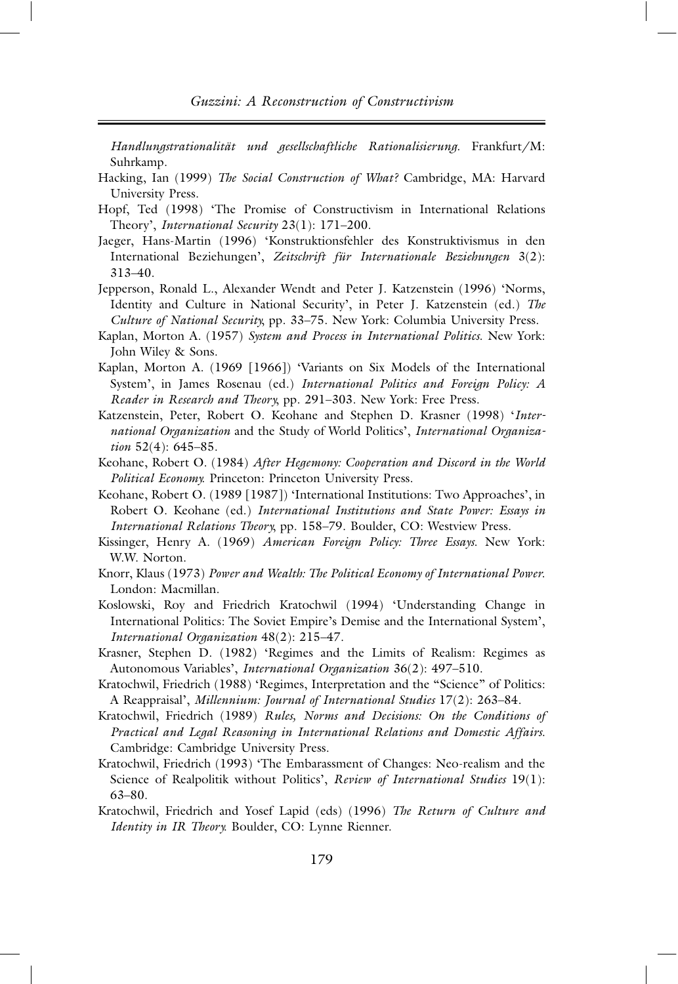*Handlungstrationalität und gesellschaftliche Rationalisierung*. Frankfurt/M: Suhrkamp.

- Hacking, Ian (1999) *The Social Construction of What?* Cambridge, MA: Harvard University Press.
- Hopf, Ted (1998) 'The Promise of Constructivism in International Relations Theory', *International Security* 23(1): 171–200.
- Jaeger, Hans-Martin (1996) 'Konstruktionsfehler des Konstruktivismus in den International Beziehungen', *Zeitschrift für Internationale Beziehungen* 3(2): 313–40.
- Jepperson, Ronald L., Alexander Wendt and Peter J. Katzenstein (1996) 'Norms, Identity and Culture in National Security', in Peter J. Katzenstein (ed.) *The Culture of National Security*, pp. 33–75. New York: Columbia University Press.
- Kaplan, Morton A. (1957) *System and Process in International Politics*. New York: John Wiley & Sons.
- Kaplan, Morton A. (1969 [1966]) 'Variants on Six Models of the International System', in James Rosenau (ed.) *International Politics and Foreign Policy: A Reader in Research and Theory*, pp. 291–303. New York: Free Press.
- Katzenstein, Peter, Robert O. Keohane and Stephen D. Krasner (1998) '*International Organization* and the Study of World Politics', *International Organization* 52(4): 645–85.
- Keohane, Robert O. (1984) *After Hegemony: Cooperation and Discord in the World Political Economy*. Princeton: Princeton University Press.
- Keohane, Robert O. (1989 [1987]) 'International Institutions: Two Approaches', in Robert O. Keohane (ed.) *International Institutions and State Power: Essays in International Relations Theory*, pp. 158–79. Boulder, CO: Westview Press.
- Kissinger, Henry A. (1969) *American Foreign Policy: Three Essays*. New York: W.W. Norton.
- Knorr, Klaus (1973) *Power and Wealth: The Political Economy of International Power*. London: Macmillan.
- Koslowski, Roy and Friedrich Kratochwil (1994) 'Understanding Change in International Politics: The Soviet Empire's Demise and the International System', *International Organization* 48(2): 215–47.
- Krasner, Stephen D. (1982) 'Regimes and the Limits of Realism: Regimes as Autonomous Variables', *International Organization* 36(2): 497–510.
- Kratochwil, Friedrich (1988) 'Regimes, Interpretation and the "Science" of Politics: A Reappraisal', *Millennium: Journal of International Studies* 17(2): 263–84.
- Kratochwil, Friedrich (1989) *Rules, Norms and Decisions: On the Conditions of Practical and Legal Reasoning in International Relations and Domestic Affairs*. Cambridge: Cambridge University Press.
- Kratochwil, Friedrich (1993) 'The Embarassment of Changes: Neo-realism and the Science of Realpolitik without Politics', *Review of International Studies* 19(1): 63–80.
- Kratochwil, Friedrich and Yosef Lapid (eds) (1996) *The Return of Culture and Identity in IR Theory*. Boulder, CO: Lynne Rienner.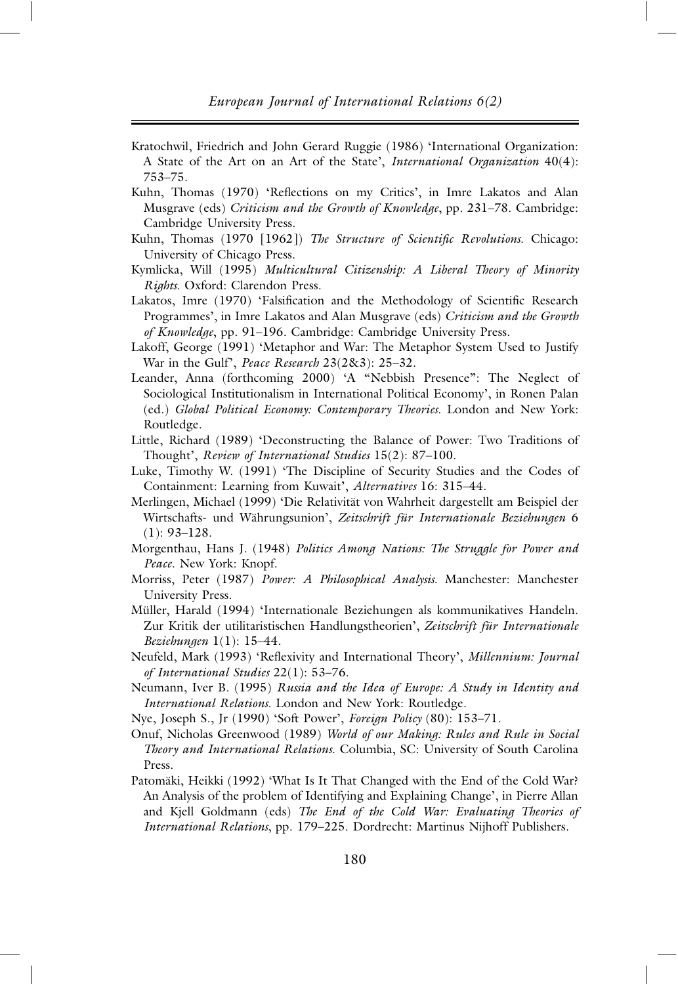- Kratochwil, Friedrich and John Gerard Ruggie (1986) 'International Organization: A State of the Art on an Art of the State', *International Organization* 40(4): 753–75.
- Kuhn, Thomas (1970) 'Reflections on my Critics', in Imre Lakatos and Alan Musgrave (eds) *Criticism and the Growth of Knowledge*, pp. 231–78. Cambridge: Cambridge University Press.
- Kuhn, Thomas (1970 [1962]) *The Structure of Scientific Revolutions*. Chicago: University of Chicago Press.
- Kymlicka, Will (1995) *Multicultural Citizenship: A Liberal Theory of Minority Rights*. Oxford: Clarendon Press.
- Lakatos, Imre (1970) 'Falsification and the Methodology of Scientific Research Programmes', in Imre Lakatos and Alan Musgrave (eds) *Criticism and the Growth of Knowledge*, pp. 91–196. Cambridge: Cambridge University Press.
- Lakoff, George (1991) 'Metaphor and War: The Metaphor System Used to Justify War in the Gulf', *Peace Research* 23(2&3): 25–32.
- Leander, Anna (forthcoming 2000) 'A "Nebbish Presence": The Neglect of Sociological Institutionalism in International Political Economy', in Ronen Palan (ed.) *Global Political Economy: Contemporary Theories*. London and New York: Routledge.
- Little, Richard (1989) 'Deconstructing the Balance of Power: Two Traditions of Thought', *Review of International Studies* 15(2): 87–100.
- Luke, Timothy W. (1991) 'The Discipline of Security Studies and the Codes of Containment: Learning from Kuwait', *Alternatives* 16: 315–44.
- Merlingen, Michael (1999) 'Die Relativität von Wahrheit dargestellt am Beispiel der Wirtschafts- und Währungsunion', *Zeitschrift für Internationale Beziehungen* 6 (1): 93–128.
- Morgenthau, Hans J. (1948) *Politics Among Nations: The Struggle for Power and Peace*. New York: Knopf.
- Morriss, Peter (1987) *Power: A Philosophical Analysis*. Manchester: Manchester University Press.
- Müller, Harald (1994) 'Internationale Beziehungen als kommunikatives Handeln. Zur Kritik der utilitaristischen Handlungstheorien', *Zeitschrift für Internationale Beziehungen* 1(1): 15–44.
- Neufeld, Mark (1993) 'Reflexivity and International Theory', *Millennium: Journal of International Studies* 22(1): 53–76.
- Neumann, Iver B. (1995) *Russia and the Idea of Europe: A Study in Identity and International Relations*. London and New York: Routledge.
- Nye, Joseph S., Jr (1990) 'Soft Power', *Foreign Policy* (80): 153–71.
- Onuf, Nicholas Greenwood (1989) *World of our Making: Rules and Rule in Social Theory and International Relations*. Columbia, SC: University of South Carolina Press.
- Patomäki, Heikki (1992) 'What Is It That Changed with the End of the Cold War? An Analysis of the problem of Identifying and Explaining Change', in Pierre Allan and Kjell Goldmann (eds) *The End of the Cold War: Evaluating Theories of International Relations*, pp. 179–225. Dordrecht: Martinus Nijhoff Publishers.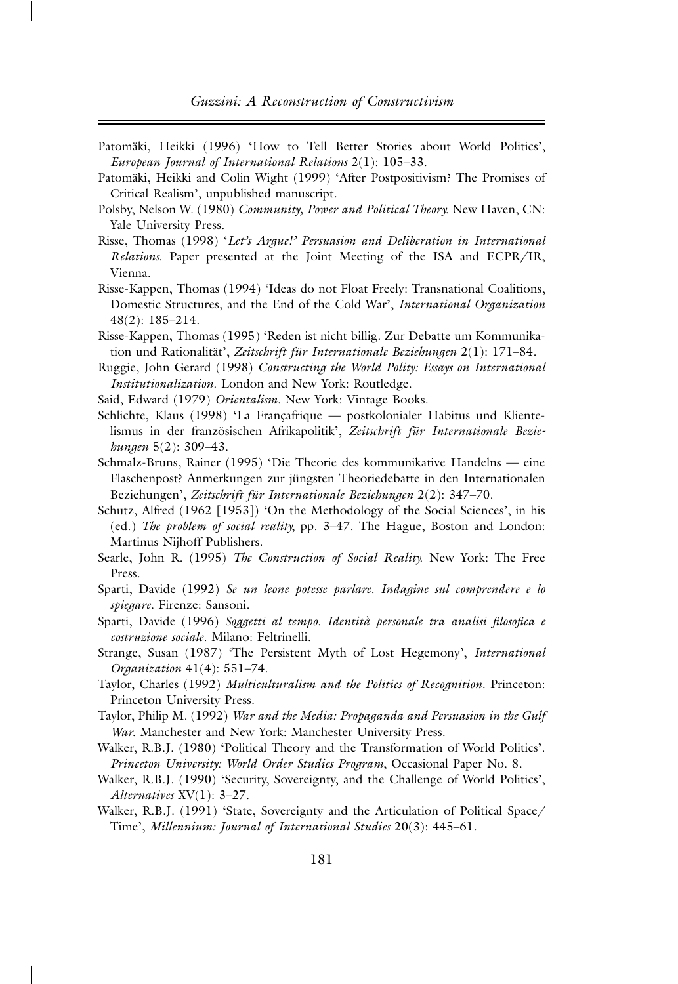- Patomäki, Heikki (1996) 'How to Tell Better Stories about World Politics', *European Journal of International Relations* 2(1): 105–33.
- Patomäki, Heikki and Colin Wight (1999) 'After Postpositivism? The Promises of Critical Realism', unpublished manuscript.
- Polsby, Nelson W. (1980) *Community, Power and Political Theory*. New Haven, CN: Yale University Press.
- Risse, Thomas (1998) '*Let's Argue!' Persuasion and Deliberation in International Relations.* Paper presented at the Joint Meeting of the ISA and ECPR/IR, Vienna.
- Risse-Kappen, Thomas (1994) 'Ideas do not Float Freely: Transnational Coalitions, Domestic Structures, and the End of the Cold War', *International Organization* 48(2): 185–214.
- Risse-Kappen, Thomas (1995) 'Reden ist nicht billig. Zur Debatte um Kommunikation und Rationalität', *Zeitschrift für Internationale Beziehungen* 2(1): 171–84.
- Ruggie, John Gerard (1998) *Constructing the World Polity: Essays on International Institutionalization*. London and New York: Routledge.
- Said, Edward (1979) *Orientalism*. New York: Vintage Books.
- Schlichte, Klaus (1998) 'La Françafrique postkolonialer Habitus und Klientelismus in der französischen Afrikapolitik', *Zeitschrift für Internationale Beziehungen* 5(2): 309–43.
- Schmalz-Bruns, Rainer (1995) 'Die Theorie des kommunikative Handelns eine Flaschenpost? Anmerkungen zur jüngsten Theoriedebatte in den Internationalen Beziehungen', *Zeitschrift für Internationale Beziehungen* 2(2): 347–70.
- Schutz, Alfred (1962 [1953]) 'On the Methodology of the Social Sciences', in his (ed.) *The problem of social reality*, pp. 3–47. The Hague, Boston and London: Martinus Nijhoff Publishers.
- Searle, John R. (1995) *The Construction of Social Reality*. New York: The Free Press.
- Sparti, Davide (1992) *Se un leone potesse parlare. Indagine sul comprendere e lo spiegare*. Firenze: Sansoni.
- Sparti, Davide (1996) *Soggetti al tempo. Identità personale tra analisi filosofica e costruzione sociale*. Milano: Feltrinelli.
- Strange, Susan (1987) 'The Persistent Myth of Lost Hegemony', *International Organization* 41(4): 551–74.
- Taylor, Charles (1992) *Multiculturalism and the Politics of Recognition*. Princeton: Princeton University Press.
- Taylor, Philip M. (1992) *War and the Media: Propaganda and Persuasion in the Gulf War*. Manchester and New York: Manchester University Press.
- Walker, R.B.J. (1980) 'Political Theory and the Transformation of World Politics'. *Princeton University: World Order Studies Program*, Occasional Paper No. 8.
- Walker, R.B.J. (1990) 'Security, Sovereignty, and the Challenge of World Politics', *Alternatives* XV(1): 3–27.
- Walker, R.B.J. (1991) 'State, Sovereignty and the Articulation of Political Space/ Time', *Millennium: Journal of International Studies* 20(3): 445–61.